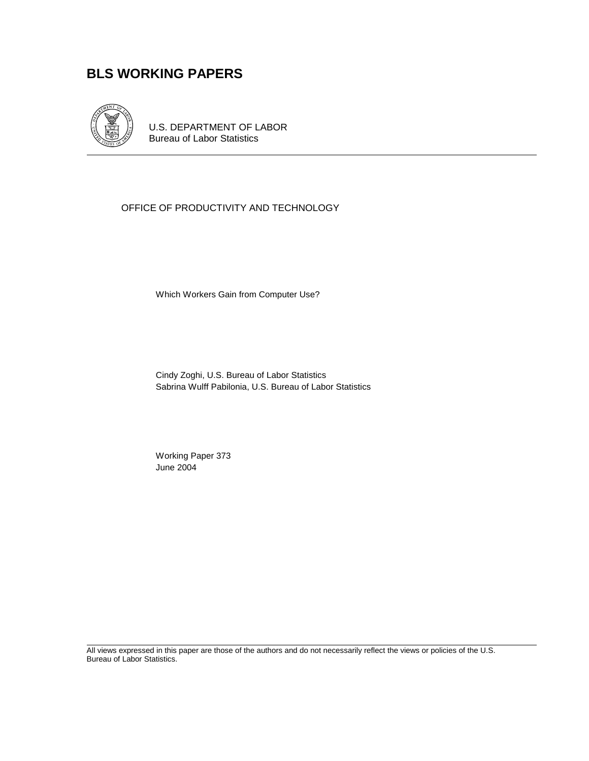# **BLS WORKING PAPERS**



U.S. DEPARTMENT OF LABOR Bureau of Labor Statistics

## OFFICE OF PRODUCTIVITY AND TECHNOLOGY

Which Workers Gain from Computer Use?

Cindy Zoghi, U.S. Bureau of Labor Statistics Sabrina Wulff Pabilonia, U.S. Bureau of Labor Statistics

 Working Paper 373 June 2004

All views expressed in this paper are those of the authors and do not necessarily reflect the views or policies of the U.S. Bureau of Labor Statistics.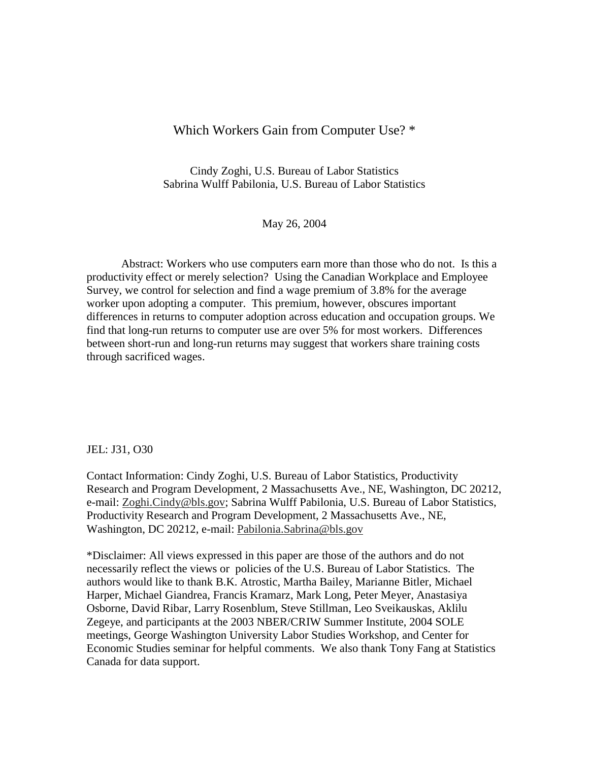## Which Workers Gain from Computer Use? \*

Cindy Zoghi, U.S. Bureau of Labor Statistics Sabrina Wulff Pabilonia, U.S. Bureau of Labor Statistics

May 26, 2004

Abstract: Workers who use computers earn more than those who do not. Is this a productivity effect or merely selection? Using the Canadian Workplace and Employee Survey, we control for selection and find a wage premium of 3.8% for the average worker upon adopting a computer. This premium, however, obscures important differences in returns to computer adoption across education and occupation groups. We find that long-run returns to computer use are over 5% for most workers. Differences between short-run and long-run returns may suggest that workers share training costs through sacrificed wages.

## JEL: J31, O30

Contact Information: Cindy Zoghi, U.S. Bureau of Labor Statistics, Productivity Research and Program Development, 2 Massachusetts Ave., NE, Washington, DC 20212, e-mail: Zoghi.Cindy@bls.gov; Sabrina Wulff Pabilonia, U.S. Bureau of Labor Statistics, Productivity Research and Program Development, 2 Massachusetts Ave., NE, Washington, DC 20212, e-mail: Pabilonia.Sabrina@bls.gov

\*Disclaimer: All views expressed in this paper are those of the authors and do not necessarily reflect the views or policies of the U.S. Bureau of Labor Statistics. The authors would like to thank B.K. Atrostic, Martha Bailey, Marianne Bitler, Michael Harper, Michael Giandrea, Francis Kramarz, Mark Long, Peter Meyer, Anastasiya Osborne, David Ribar, Larry Rosenblum, Steve Stillman, Leo Sveikauskas, Aklilu Zegeye, and participants at the 2003 NBER/CRIW Summer Institute, 2004 SOLE meetings, George Washington University Labor Studies Workshop, and Center for Economic Studies seminar for helpful comments. We also thank Tony Fang at Statistics Canada for data support.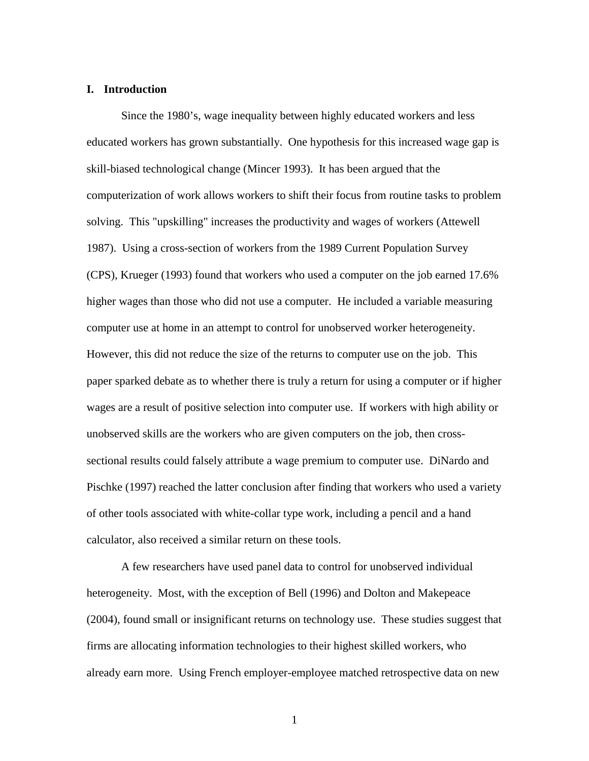### **I. Introduction**

Since the 1980's, wage inequality between highly educated workers and less educated workers has grown substantially. One hypothesis for this increased wage gap is skill-biased technological change (Mincer 1993). It has been argued that the computerization of work allows workers to shift their focus from routine tasks to problem solving. This "upskilling" increases the productivity and wages of workers (Attewell 1987). Using a cross-section of workers from the 1989 Current Population Survey (CPS), Krueger (1993) found that workers who used a computer on the job earned 17.6% higher wages than those who did not use a computer. He included a variable measuring computer use at home in an attempt to control for unobserved worker heterogeneity. However, this did not reduce the size of the returns to computer use on the job. This paper sparked debate as to whether there is truly a return for using a computer or if higher wages are a result of positive selection into computer use. If workers with high ability or unobserved skills are the workers who are given computers on the job, then crosssectional results could falsely attribute a wage premium to computer use. DiNardo and Pischke (1997) reached the latter conclusion after finding that workers who used a variety of other tools associated with white-collar type work, including a pencil and a hand calculator, also received a similar return on these tools.

A few researchers have used panel data to control for unobserved individual heterogeneity. Most, with the exception of Bell (1996) and Dolton and Makepeace (2004), found small or insignificant returns on technology use. These studies suggest that firms are allocating information technologies to their highest skilled workers, who already earn more. Using French employer-employee matched retrospective data on new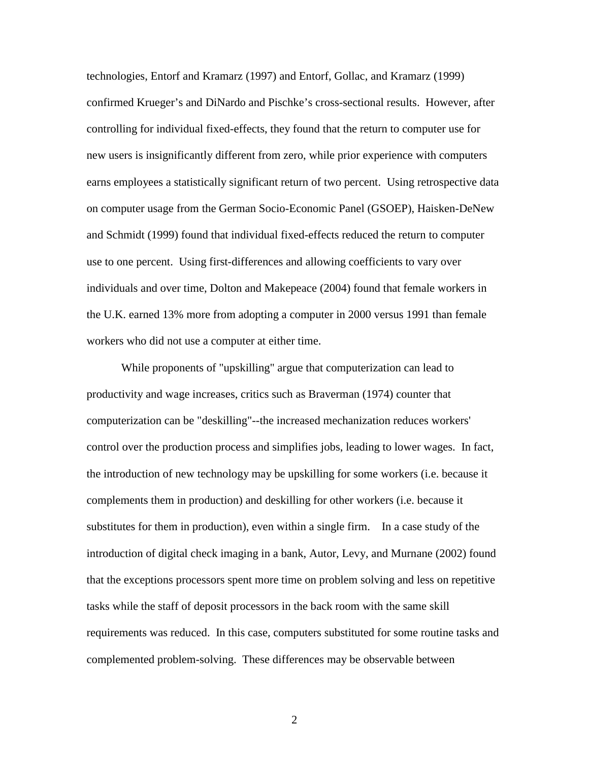technologies, Entorf and Kramarz (1997) and Entorf, Gollac, and Kramarz (1999) confirmed Krueger's and DiNardo and Pischke's cross-sectional results. However, after controlling for individual fixed-effects, they found that the return to computer use for new users is insignificantly different from zero, while prior experience with computers earns employees a statistically significant return of two percent. Using retrospective data on computer usage from the German Socio-Economic Panel (GSOEP), Haisken-DeNew and Schmidt (1999) found that individual fixed-effects reduced the return to computer use to one percent. Using first-differences and allowing coefficients to vary over individuals and over time, Dolton and Makepeace (2004) found that female workers in the U.K. earned 13% more from adopting a computer in 2000 versus 1991 than female workers who did not use a computer at either time.

While proponents of "upskilling" argue that computerization can lead to productivity and wage increases, critics such as Braverman (1974) counter that computerization can be "deskilling"--the increased mechanization reduces workers' control over the production process and simplifies jobs, leading to lower wages. In fact, the introduction of new technology may be upskilling for some workers (i.e. because it complements them in production) and deskilling for other workers (i.e. because it substitutes for them in production), even within a single firm. In a case study of the introduction of digital check imaging in a bank, Autor, Levy, and Murnane (2002) found that the exceptions processors spent more time on problem solving and less on repetitive tasks while the staff of deposit processors in the back room with the same skill requirements was reduced. In this case, computers substituted for some routine tasks and complemented problem-solving. These differences may be observable between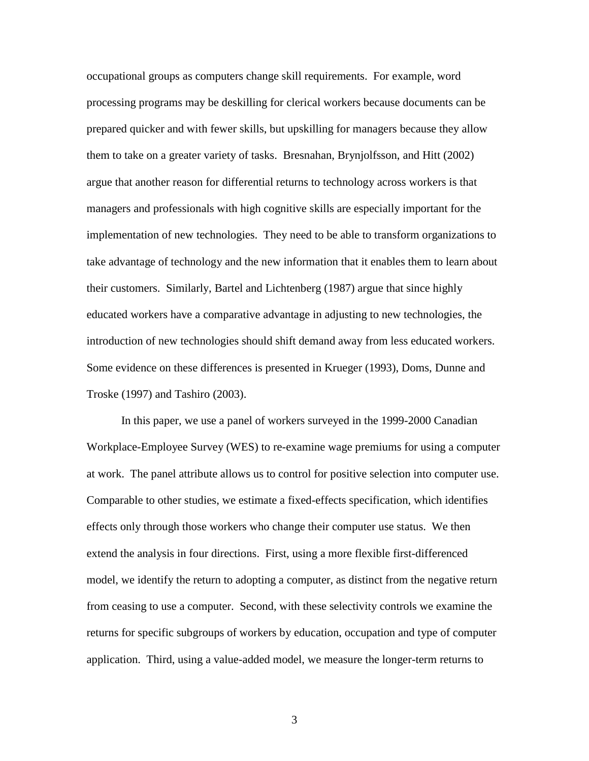occupational groups as computers change skill requirements. For example, word processing programs may be deskilling for clerical workers because documents can be prepared quicker and with fewer skills, but upskilling for managers because they allow them to take on a greater variety of tasks. Bresnahan, Brynjolfsson, and Hitt (2002) argue that another reason for differential returns to technology across workers is that managers and professionals with high cognitive skills are especially important for the implementation of new technologies. They need to be able to transform organizations to take advantage of technology and the new information that it enables them to learn about their customers. Similarly, Bartel and Lichtenberg (1987) argue that since highly educated workers have a comparative advantage in adjusting to new technologies, the introduction of new technologies should shift demand away from less educated workers. Some evidence on these differences is presented in Krueger (1993), Doms, Dunne and Troske (1997) and Tashiro (2003).

In this paper, we use a panel of workers surveyed in the 1999-2000 Canadian Workplace-Employee Survey (WES) to re-examine wage premiums for using a computer at work. The panel attribute allows us to control for positive selection into computer use. Comparable to other studies, we estimate a fixed-effects specification, which identifies effects only through those workers who change their computer use status. We then extend the analysis in four directions. First, using a more flexible first-differenced model, we identify the return to adopting a computer, as distinct from the negative return from ceasing to use a computer. Second, with these selectivity controls we examine the returns for specific subgroups of workers by education, occupation and type of computer application. Third, using a value-added model, we measure the longer-term returns to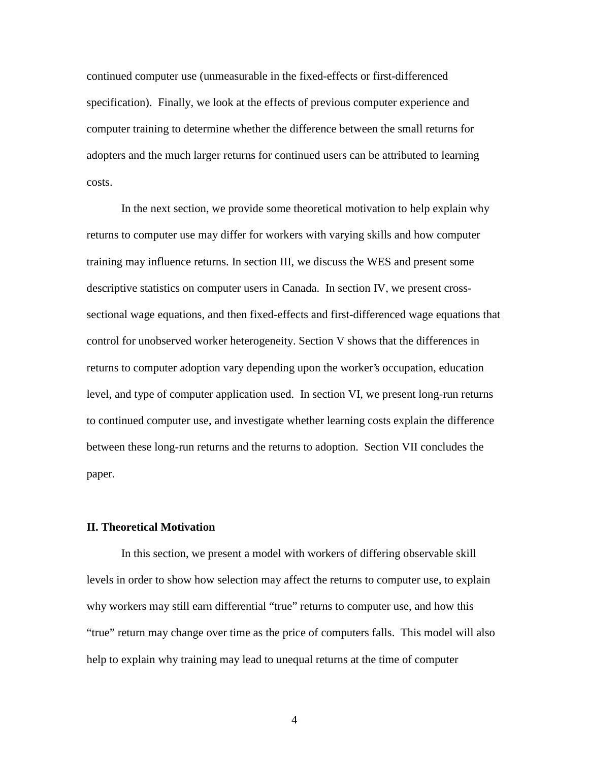continued computer use (unmeasurable in the fixed-effects or first-differenced specification). Finally, we look at the effects of previous computer experience and computer training to determine whether the difference between the small returns for adopters and the much larger returns for continued users can be attributed to learning costs.

In the next section, we provide some theoretical motivation to help explain why returns to computer use may differ for workers with varying skills and how computer training may influence returns. In section III, we discuss the WES and present some descriptive statistics on computer users in Canada. In section IV, we present crosssectional wage equations, and then fixed-effects and first-differenced wage equations that control for unobserved worker heterogeneity. Section V shows that the differences in returns to computer adoption vary depending upon the worker's occupation, education level, and type of computer application used. In section VI, we present long-run returns to continued computer use, and investigate whether learning costs explain the difference between these long-run returns and the returns to adoption. Section VII concludes the paper.

## **II. Theoretical Motivation**

In this section, we present a model with workers of differing observable skill levels in order to show how selection may affect the returns to computer use, to explain why workers may still earn differential "true" returns to computer use, and how this "true" return may change over time as the price of computers falls. This model will also help to explain why training may lead to unequal returns at the time of computer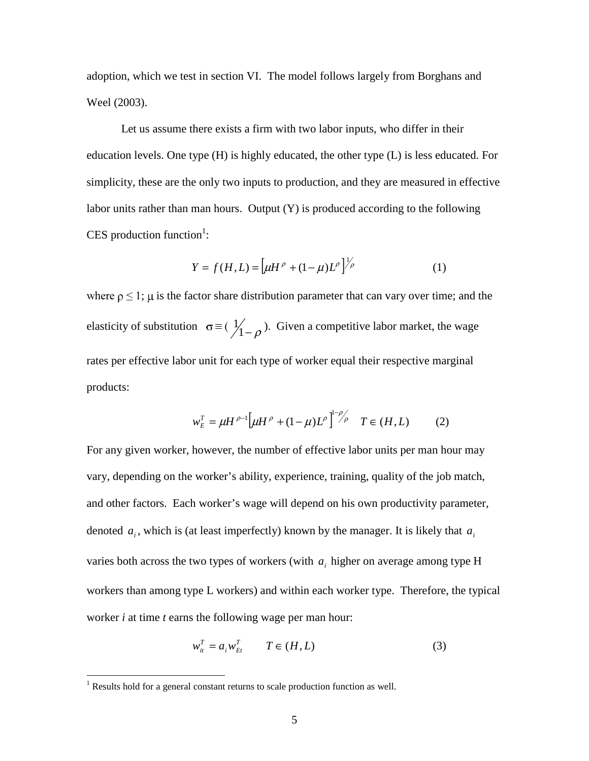adoption, which we test in section VI. The model follows largely from Borghans and Weel (2003).

Let us assume there exists a firm with two labor inputs, who differ in their education levels. One type (H) is highly educated, the other type (L) is less educated. For simplicity, these are the only two inputs to production, and they are measured in effective labor units rather than man hours. Output (Y) is produced according to the following CES production function<sup>1</sup>:

$$
Y = f(H, L) = \left[ \mu H^{\rho} + (1 - \mu) L^{\rho} \right]^{1/\rho}
$$
 (1)

where  $\rho \leq 1$ ;  $\mu$  is the factor share distribution parameter that can vary over time; and the elasticity of substitution  $\sigma \equiv (\frac{1}{1-\rho})$ . Given a competitive labor market, the wage rates per effective labor unit for each type of worker equal their respective marginal products:

$$
w_E^T = \mu H^{\rho-1} \left[ \mu H^{\rho} + (1 - \mu) L^{\rho} \right]^{1 - \rho} \rho T \in (H, L) \tag{2}
$$

For any given worker, however, the number of effective labor units per man hour may vary, depending on the worker's ability, experience, training, quality of the job match, and other factors. Each worker's wage will depend on his own productivity parameter, denoted  $a_i$ , which is (at least imperfectly) known by the manager. It is likely that  $a_i$ varies both across the two types of workers (with  $a_i$  higher on average among type H workers than among type L workers) and within each worker type. Therefore, the typical worker *i* at time *t* earns the following wage per man hour:

$$
w_{it}^T = a_i w_{Et}^T \qquad T \in (H, L)
$$
 (3)

<sup>&</sup>lt;sup>1</sup> Results hold for a general constant returns to scale production function as well.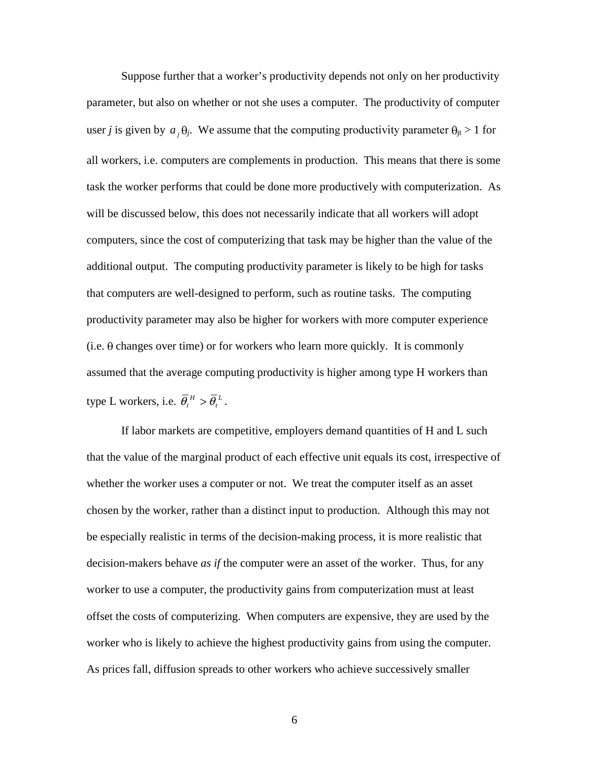Suppose further that a worker's productivity depends not only on her productivity parameter, but also on whether or not she uses a computer. The productivity of computer user *j* is given by  $a_j \theta_j$ . We assume that the computing productivity parameter  $\theta_{jt} > 1$  for all workers, i.e. computers are complements in production. This means that there is some task the worker performs that could be done more productively with computerization. As will be discussed below, this does not necessarily indicate that all workers will adopt computers, since the cost of computerizing that task may be higher than the value of the additional output. The computing productivity parameter is likely to be high for tasks that computers are well-designed to perform, such as routine tasks. The computing productivity parameter may also be higher for workers with more computer experience  $(i.e.  $\theta$  changes over time) or for workers who learn more quickly. It is commonly$ assumed that the average computing productivity is higher among type H workers than type L workers, i.e.  $\overline{\theta}_t^H > \overline{\theta}_t^L$ .

 If labor markets are competitive, employers demand quantities of H and L such that the value of the marginal product of each effective unit equals its cost, irrespective of whether the worker uses a computer or not. We treat the computer itself as an asset chosen by the worker, rather than a distinct input to production. Although this may not be especially realistic in terms of the decision-making process, it is more realistic that decision-makers behave *as if* the computer were an asset of the worker. Thus, for any worker to use a computer, the productivity gains from computerization must at least offset the costs of computerizing. When computers are expensive, they are used by the worker who is likely to achieve the highest productivity gains from using the computer. As prices fall, diffusion spreads to other workers who achieve successively smaller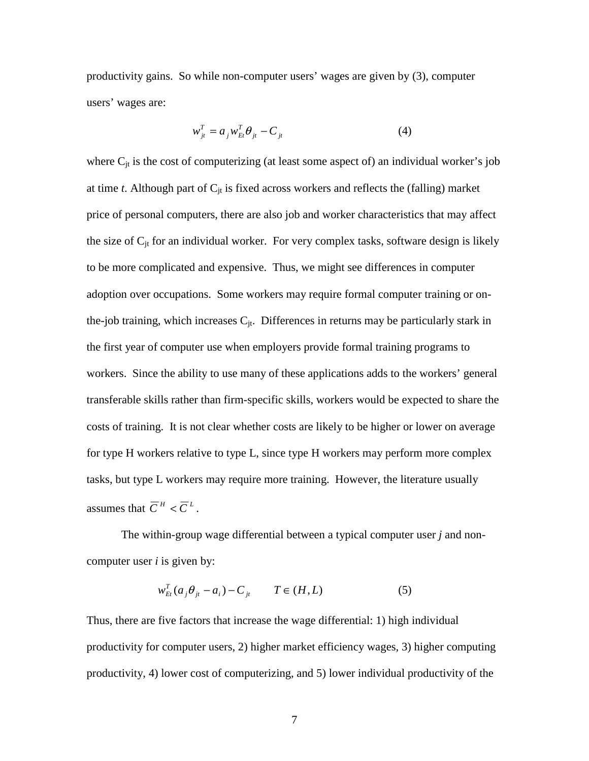productivity gains. So while non-computer users' wages are given by (3), computer users' wages are:

$$
w_{jt}^T = a_{j} w_{Et}^T \boldsymbol{\theta}_{jt} - \boldsymbol{C}_{jt}
$$
 (4)

where  $C_{it}$  is the cost of computerizing (at least some aspect of) an individual worker's job at time  $t$ . Although part of  $C_{it}$  is fixed across workers and reflects the (falling) market price of personal computers, there are also job and worker characteristics that may affect the size of  $C_{it}$  for an individual worker. For very complex tasks, software design is likely to be more complicated and expensive. Thus, we might see differences in computer adoption over occupations. Some workers may require formal computer training or onthe-job training, which increases  $C_{it}$ . Differences in returns may be particularly stark in the first year of computer use when employers provide formal training programs to workers. Since the ability to use many of these applications adds to the workers' general transferable skills rather than firm-specific skills, workers would be expected to share the costs of training. It is not clear whether costs are likely to be higher or lower on average for type H workers relative to type L, since type H workers may perform more complex tasks, but type L workers may require more training. However, the literature usually assumes that  $\overline{C}^H < \overline{C}^L$ .

 The within-group wage differential between a typical computer user *j* and noncomputer user *i* is given by:

$$
w_{Et}^T(a_j\theta_{jt} - a_i) - C_{jt} \qquad T \in (H, L)
$$
 (5)

Thus, there are five factors that increase the wage differential: 1) high individual productivity for computer users, 2) higher market efficiency wages, 3) higher computing productivity, 4) lower cost of computerizing, and 5) lower individual productivity of the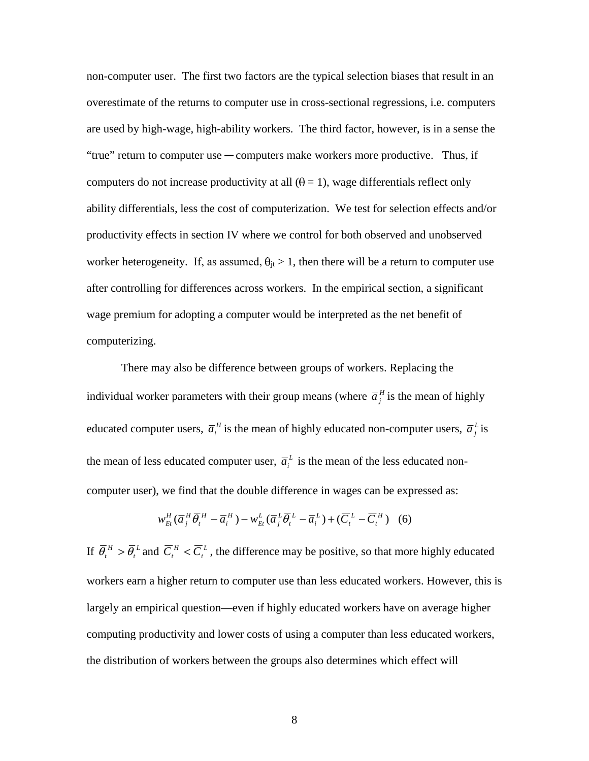non-computer user. The first two factors are the typical selection biases that result in an overestimate of the returns to computer use in cross-sectional regressions, i.e. computers are used by high-wage, high-ability workers. The third factor, however, is in a sense the "true" return to computer use  $\sim$  computers make workers more productive. Thus, if computers do not increase productivity at all  $(\theta = 1)$ , wage differentials reflect only ability differentials, less the cost of computerization. We test for selection effects and/or productivity effects in section IV where we control for both observed and unobserved worker heterogeneity. If, as assumed,  $\theta_{it} > 1$ , then there will be a return to computer use after controlling for differences across workers. In the empirical section, a significant wage premium for adopting a computer would be interpreted as the net benefit of computerizing.

 There may also be difference between groups of workers. Replacing the individual worker parameters with their group means (where  $\bar{a}^H_j$  is the mean of highly educated computer users,  $\overline{a}^H_i$  is the mean of highly educated non-computer users,  $\overline{a}^L_j$  is the mean of less educated computer user,  $\overline{a}_i^L$  is the mean of the less educated noncomputer user), we find that the double difference in wages can be expressed as:

$$
w_{Et}^H(\overline{a}_j^H \overline{\theta}_i^H - \overline{a}_i^H) - w_{Et}^L(\overline{a}_j^L \overline{\theta}_i^L - \overline{a}_i^L) + (\overline{C}_i^L - \overline{C}_i^H) \quad (6)
$$

If  $\bar{\theta}_t^H > \bar{\theta}_t^L$  and  $\bar{C}_t^H < \bar{C}_t^L$ , the difference may be positive, so that more highly educated workers earn a higher return to computer use than less educated workers. However, this is largely an empirical question—even if highly educated workers have on average higher computing productivity and lower costs of using a computer than less educated workers, the distribution of workers between the groups also determines which effect will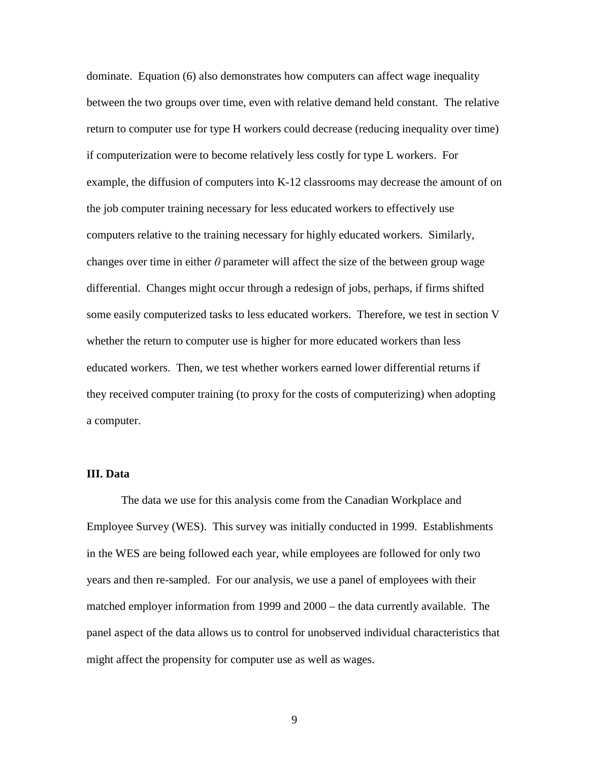dominate. Equation (6) also demonstrates how computers can affect wage inequality between the two groups over time, even with relative demand held constant. The relative return to computer use for type H workers could decrease (reducing inequality over time) if computerization were to become relatively less costly for type L workers. For example, the diffusion of computers into K-12 classrooms may decrease the amount of on the job computer training necessary for less educated workers to effectively use computers relative to the training necessary for highly educated workers. Similarly, changes over time in either  $\theta$  parameter will affect the size of the between group wage differential. Changes might occur through a redesign of jobs, perhaps, if firms shifted some easily computerized tasks to less educated workers. Therefore, we test in section V whether the return to computer use is higher for more educated workers than less educated workers. Then, we test whether workers earned lower differential returns if they received computer training (to proxy for the costs of computerizing) when adopting a computer.

## **III. Data**

The data we use for this analysis come from the Canadian Workplace and Employee Survey (WES). This survey was initially conducted in 1999. Establishments in the WES are being followed each year, while employees are followed for only two years and then re-sampled. For our analysis, we use a panel of employees with their matched employer information from 1999 and 2000 – the data currently available. The panel aspect of the data allows us to control for unobserved individual characteristics that might affect the propensity for computer use as well as wages.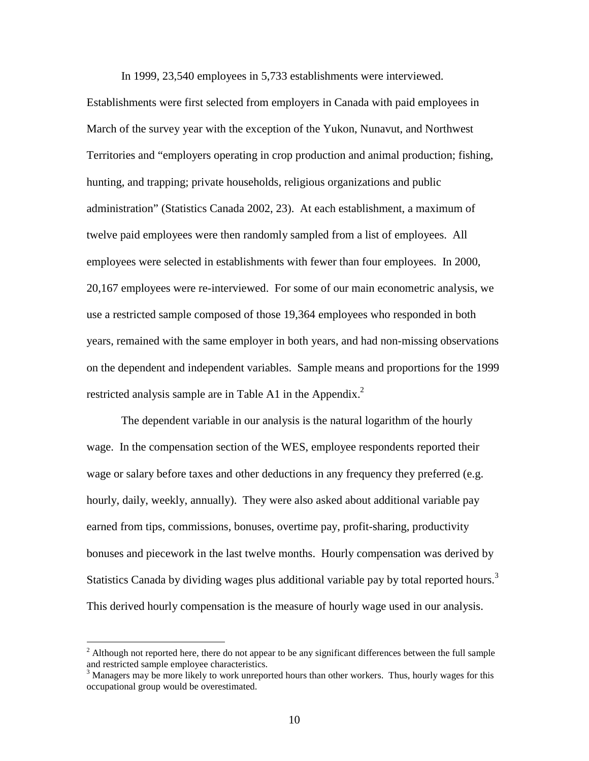In 1999, 23,540 employees in 5,733 establishments were interviewed.

Establishments were first selected from employers in Canada with paid employees in March of the survey year with the exception of the Yukon, Nunavut, and Northwest Territories and "employers operating in crop production and animal production; fishing, hunting, and trapping; private households, religious organizations and public administration" (Statistics Canada 2002, 23). At each establishment, a maximum of twelve paid employees were then randomly sampled from a list of employees. All employees were selected in establishments with fewer than four employees. In 2000, 20,167 employees were re-interviewed. For some of our main econometric analysis, we use a restricted sample composed of those 19,364 employees who responded in both years, remained with the same employer in both years, and had non-missing observations on the dependent and independent variables. Sample means and proportions for the 1999 restricted analysis sample are in Table A1 in the Appendix.<sup>2</sup>

 The dependent variable in our analysis is the natural logarithm of the hourly wage. In the compensation section of the WES, employee respondents reported their wage or salary before taxes and other deductions in any frequency they preferred (e.g. hourly, daily, weekly, annually). They were also asked about additional variable pay earned from tips, commissions, bonuses, overtime pay, profit-sharing, productivity bonuses and piecework in the last twelve months. Hourly compensation was derived by Statistics Canada by dividing wages plus additional variable pay by total reported hours.<sup>3</sup> This derived hourly compensation is the measure of hourly wage used in our analysis.

<sup>&</sup>lt;sup>2</sup> Although not reported here, there do not appear to be any significant differences between the full sample and restricted sample employee characteristics.<br><sup>3</sup> Managers may be more likely to work unreported hours than other workers. Thus, hourly wages for this

occupational group would be overestimated.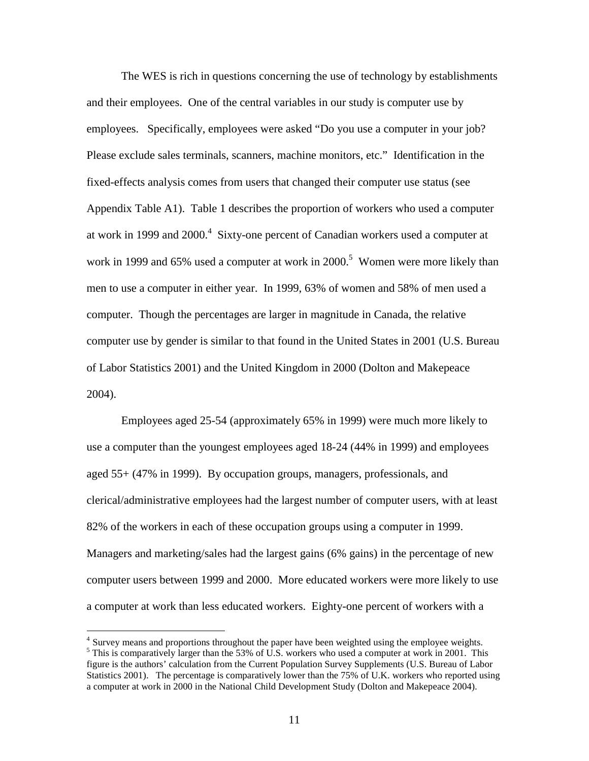The WES is rich in questions concerning the use of technology by establishments and their employees. One of the central variables in our study is computer use by employees. Specifically, employees were asked "Do you use a computer in your job? Please exclude sales terminals, scanners, machine monitors, etc." Identification in the fixed-effects analysis comes from users that changed their computer use status (see Appendix Table A1). Table 1 describes the proportion of workers who used a computer at work in 1999 and 2000.<sup>4</sup> Sixty-one percent of Canadian workers used a computer at work in 1999 and 65% used a computer at work in 2000.<sup>5</sup> Women were more likely than men to use a computer in either year. In 1999, 63% of women and 58% of men used a computer. Though the percentages are larger in magnitude in Canada, the relative computer use by gender is similar to that found in the United States in 2001 (U.S. Bureau of Labor Statistics 2001) and the United Kingdom in 2000 (Dolton and Makepeace 2004).

Employees aged 25-54 (approximately 65% in 1999) were much more likely to use a computer than the youngest employees aged 18-24 (44% in 1999) and employees aged 55+ (47% in 1999). By occupation groups, managers, professionals, and clerical/administrative employees had the largest number of computer users, with at least 82% of the workers in each of these occupation groups using a computer in 1999. Managers and marketing/sales had the largest gains (6% gains) in the percentage of new computer users between 1999 and 2000. More educated workers were more likely to use a computer at work than less educated workers. Eighty-one percent of workers with a

 $\overline{a}$ 

<sup>&</sup>lt;sup>4</sup> Survey means and proportions throughout the paper have been weighted using the employee weights. <sup>5</sup> This is comparatively larger than the 53% of U.S. workers who used a computer at work in 2001. This figure is the authors' calculation from the Current Population Survey Supplements (U.S. Bureau of Labor Statistics 2001). The percentage is comparatively lower than the 75% of U.K. workers who reported using a computer at work in 2000 in the National Child Development Study (Dolton and Makepeace 2004).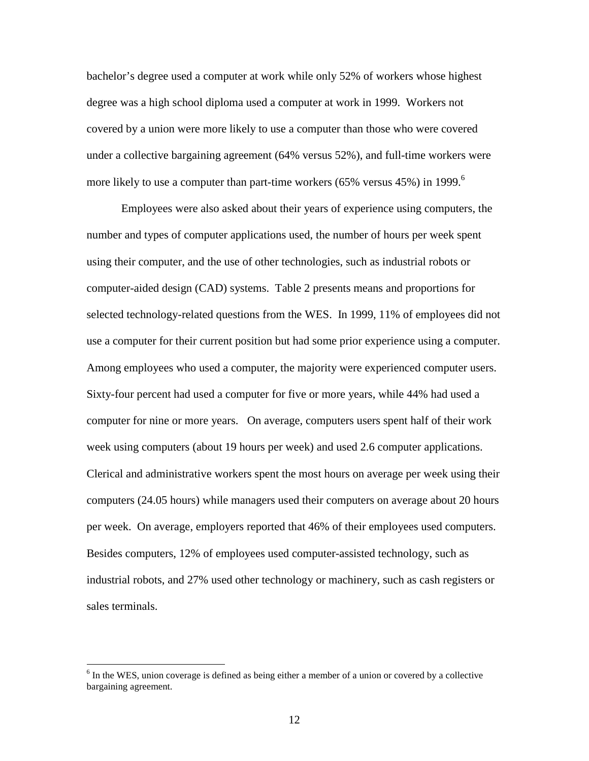bachelor's degree used a computer at work while only 52% of workers whose highest degree was a high school diploma used a computer at work in 1999. Workers not covered by a union were more likely to use a computer than those who were covered under a collective bargaining agreement (64% versus 52%), and full-time workers were more likely to use a computer than part-time workers (65% versus 45%) in 1999.<sup>6</sup>

Employees were also asked about their years of experience using computers, the number and types of computer applications used, the number of hours per week spent using their computer, and the use of other technologies, such as industrial robots or computer-aided design (CAD) systems. Table 2 presents means and proportions for selected technology-related questions from the WES. In 1999, 11% of employees did not use a computer for their current position but had some prior experience using a computer. Among employees who used a computer, the majority were experienced computer users. Sixty-four percent had used a computer for five or more years, while 44% had used a computer for nine or more years. On average, computers users spent half of their work week using computers (about 19 hours per week) and used 2.6 computer applications. Clerical and administrative workers spent the most hours on average per week using their computers (24.05 hours) while managers used their computers on average about 20 hours per week. On average, employers reported that 46% of their employees used computers. Besides computers, 12% of employees used computer-assisted technology, such as industrial robots, and 27% used other technology or machinery, such as cash registers or sales terminals.

 $\overline{a}$ 

 $6$  In the WES, union coverage is defined as being either a member of a union or covered by a collective bargaining agreement.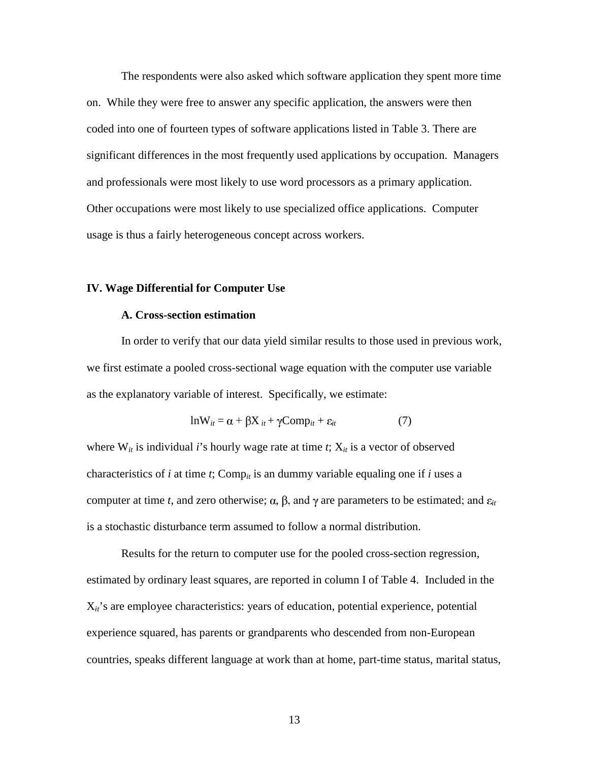The respondents were also asked which software application they spent more time on. While they were free to answer any specific application, the answers were then coded into one of fourteen types of software applications listed in Table 3. There are significant differences in the most frequently used applications by occupation. Managers and professionals were most likely to use word processors as a primary application. Other occupations were most likely to use specialized office applications. Computer usage is thus a fairly heterogeneous concept across workers.

#### **IV. Wage Differential for Computer Use**

## **A. Cross-section estimation**

 In order to verify that our data yield similar results to those used in previous work, we first estimate a pooled cross-sectional wage equation with the computer use variable as the explanatory variable of interest. Specifically, we estimate:

$$
lnW_{it} = \alpha + \beta X_{it} + \gamma Comp_{it} + \varepsilon_{it}
$$
 (7)

where  $W_{it}$  is individual *i*'s hourly wage rate at time *t*;  $X_{it}$  is a vector of observed characteristics of *i* at time *t*; Comp*it* is an dummy variable equaling one if *i* uses a computer at time *t*, and zero otherwise;  $\alpha$ ,  $\beta$ , and  $\gamma$  are parameters to be estimated; and  $\varepsilon_{it}$ is a stochastic disturbance term assumed to follow a normal distribution.

 Results for the return to computer use for the pooled cross-section regression, estimated by ordinary least squares, are reported in column I of Table 4. Included in the  $X_{it}$ 's are employee characteristics: years of education, potential experience, potential experience squared, has parents or grandparents who descended from non-European countries, speaks different language at work than at home, part-time status, marital status,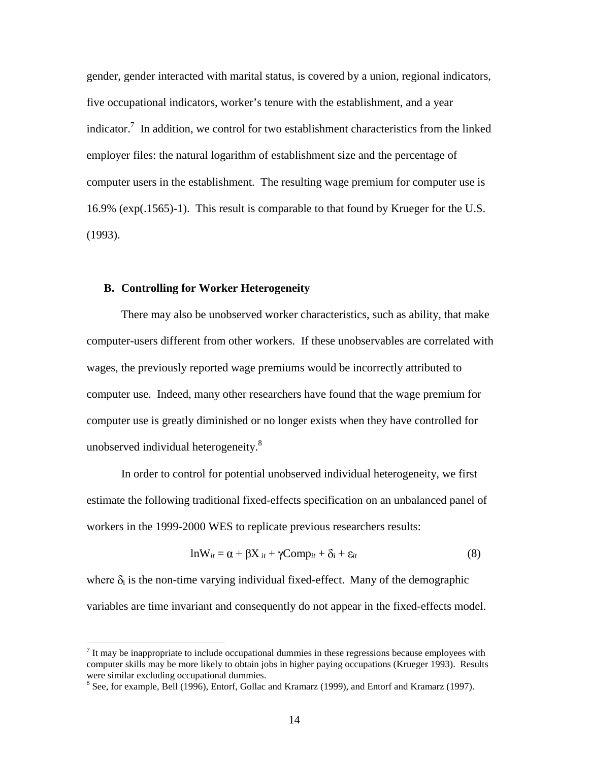gender, gender interacted with marital status, is covered by a union, regional indicators, five occupational indicators, worker's tenure with the establishment, and a year indicator.<sup>7</sup> In addition, we control for two establishment characteristics from the linked employer files: the natural logarithm of establishment size and the percentage of computer users in the establishment. The resulting wage premium for computer use is 16.9% (exp(.1565)-1). This result is comparable to that found by Krueger for the U.S. (1993).

### **B. Controlling for Worker Heterogeneity**

 There may also be unobserved worker characteristics, such as ability, that make computer-users different from other workers. If these unobservables are correlated with wages, the previously reported wage premiums would be incorrectly attributed to computer use. Indeed, many other researchers have found that the wage premium for computer use is greatly diminished or no longer exists when they have controlled for unobserved individual heterogeneity.<sup>8</sup>

 In order to control for potential unobserved individual heterogeneity, we first estimate the following traditional fixed-effects specification on an unbalanced panel of workers in the 1999-2000 WES to replicate previous researchers results:

$$
lnW_{it} = \alpha + \beta X_{it} + \gamma Comp_{it} + \delta_i + \varepsilon_{it}
$$
\n(8)

where  $\delta_i$  is the non-time varying individual fixed-effect. Many of the demographic variables are time invariant and consequently do not appear in the fixed-effects model.

<sup>&</sup>lt;sup>7</sup> It may be inappropriate to include occupational dummies in these regressions because employees with computer skills may be more likely to obtain jobs in higher paying occupations (Krueger 1993). Results were similar excluding occupational dummies.

<sup>&</sup>lt;sup>8</sup> See, for example, Bell (1996), Entorf, Gollac and Kramarz (1999), and Entorf and Kramarz (1997).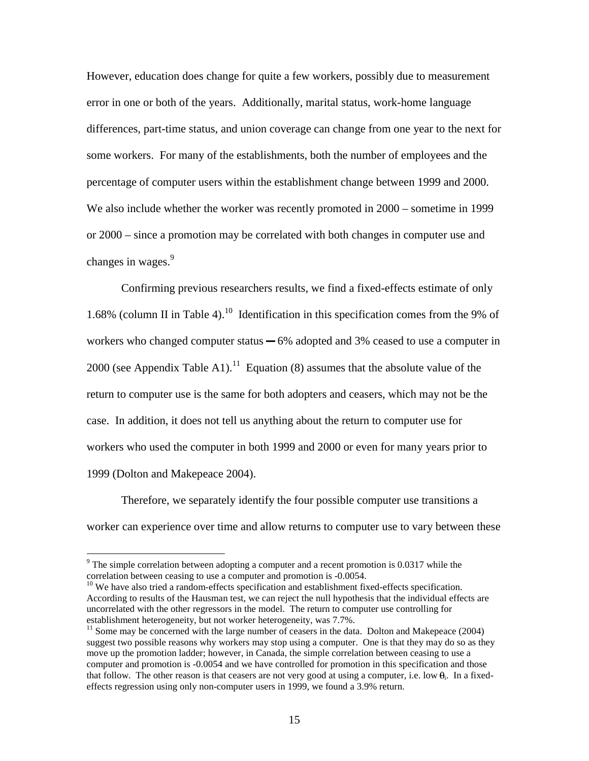However, education does change for quite a few workers, possibly due to measurement error in one or both of the years. Additionally, marital status, work-home language differences, part-time status, and union coverage can change from one year to the next for some workers. For many of the establishments, both the number of employees and the percentage of computer users within the establishment change between 1999 and 2000. We also include whether the worker was recently promoted in 2000 – sometime in 1999 or 2000 – since a promotion may be correlated with both changes in computer use and changes in wages.<sup>9</sup>

 Confirming previous researchers results, we find a fixed-effects estimate of only 1.68% (column II in Table 4).<sup>10</sup> Identification in this specification comes from the 9% of workers who changed computer status  $-6\%$  adopted and 3% ceased to use a computer in 2000 (see Appendix Table A1).<sup>11</sup> Equation (8) assumes that the absolute value of the return to computer use is the same for both adopters and ceasers, which may not be the case. In addition, it does not tell us anything about the return to computer use for workers who used the computer in both 1999 and 2000 or even for many years prior to 1999 (Dolton and Makepeace 2004).

 Therefore, we separately identify the four possible computer use transitions a worker can experience over time and allow returns to computer use to vary between these

 $\overline{a}$ 

 $10$  We have also tried a random-effects specification and establishment fixed-effects specification. According to results of the Hausman test, we can reject the null hypothesis that the individual effects are uncorrelated with the other regressors in the model. The return to computer use controlling for establishment heterogeneity, but not worker heterogeneity, was 7.7%.

 $9$  The simple correlation between adopting a computer and a recent promotion is 0.0317 while the correlation between ceasing to use a computer and promotion is -0.0054.

 $11$  Some may be concerned with the large number of ceasers in the data. Dolton and Makepeace (2004) suggest two possible reasons why workers may stop using a computer. One is that they may do so as they move up the promotion ladder; however, in Canada, the simple correlation between ceasing to use a computer and promotion is -0.0054 and we have controlled for promotion in this specification and those that follow. The other reason is that ceasers are not very good at using a computer, i.e. low  $\theta$ . In a fixedeffects regression using only non-computer users in 1999, we found a 3.9% return.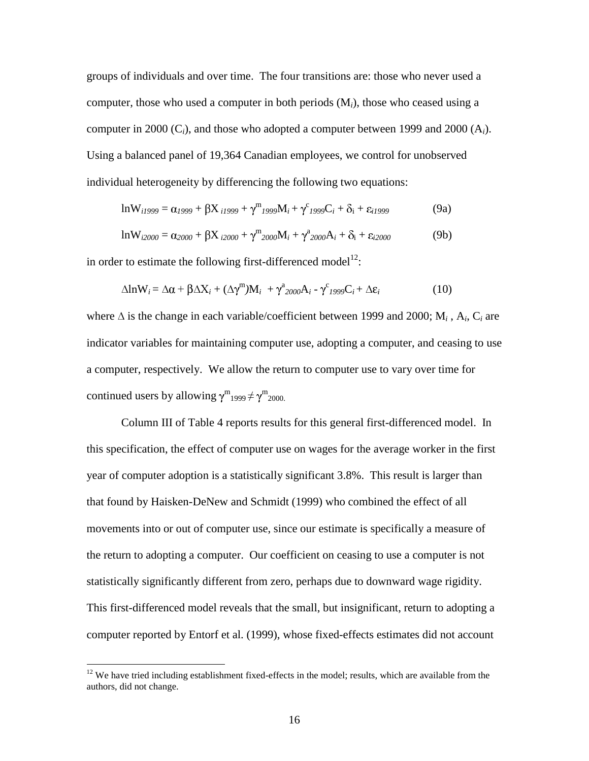groups of individuals and over time. The four transitions are: those who never used a computer, those who used a computer in both periods (M*i*), those who ceased using a computer in 2000 (C*i*), and those who adopted a computer between 1999 and 2000 (A*i*). Using a balanced panel of 19,364 Canadian employees, we control for unobserved individual heterogeneity by differencing the following two equations:

$$
ln W_{i1999} = \alpha_{1999} + \beta X_{i1999} + \gamma^{m}_{1999} M_i + \gamma^{c}_{1999} C_i + \delta_i + \varepsilon_{i1999}
$$
(9a)

$$
ln W_{i2000} = \alpha_{2000} + \beta X_{i2000} + \gamma^{m}_{2000} M_{i} + \gamma^{a}_{2000} A_{i} + \delta_{i} + \epsilon_{i2000}
$$
 (9b)

in order to estimate the following first-differenced model<sup>12</sup>:

$$
\Delta \ln W_i = \Delta \alpha + \beta \Delta X_i + (\Delta \gamma^{\rm m}) M_i + \gamma^{\rm a}_{2000} A_i - \gamma^{\rm c}_{1999} C_i + \Delta \varepsilon_i \tag{10}
$$

where  $\Delta$  is the change in each variable/coefficient between 1999 and 2000; M<sub>*i*</sub>, A<sub>*i*</sub>, C<sub>*i*</sub> are indicator variables for maintaining computer use, adopting a computer, and ceasing to use a computer, respectively. We allow the return to computer use to vary over time for continued users by allowing  $\gamma^{\rm m}{}_{1999} \neq \gamma^{\rm m}{}_{2000}$ .

 Column III of Table 4 reports results for this general first-differenced model. In this specification, the effect of computer use on wages for the average worker in the first year of computer adoption is a statistically significant 3.8%. This result is larger than that found by Haisken-DeNew and Schmidt (1999) who combined the effect of all movements into or out of computer use, since our estimate is specifically a measure of the return to adopting a computer. Our coefficient on ceasing to use a computer is not statistically significantly different from zero, perhaps due to downward wage rigidity. This first-differenced model reveals that the small, but insignificant, return to adopting a computer reported by Entorf et al. (1999), whose fixed-effects estimates did not account

 $\overline{a}$ 

 $12$  We have tried including establishment fixed-effects in the model; results, which are available from the authors, did not change.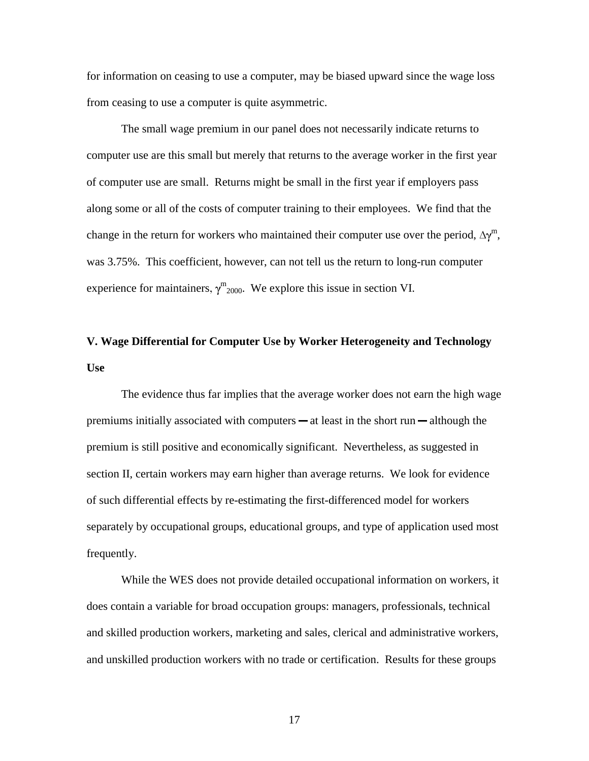for information on ceasing to use a computer, may be biased upward since the wage loss from ceasing to use a computer is quite asymmetric.

 The small wage premium in our panel does not necessarily indicate returns to computer use are this small but merely that returns to the average worker in the first year of computer use are small. Returns might be small in the first year if employers pass along some or all of the costs of computer training to their employees. We find that the change in the return for workers who maintained their computer use over the period,  $\Delta \gamma^m$ , was 3.75%. This coefficient, however, can not tell us the return to long-run computer experience for maintainers,  $\gamma^{\rm m}$ <sub>2000</sub>. We explore this issue in section VI.

# **V. Wage Differential for Computer Use by Worker Heterogeneity and Technology Use**

 The evidence thus far implies that the average worker does not earn the high wage premiums initially associated with computers  $-\alpha t$  least in the short run  $-\alpha t$  although the premium is still positive and economically significant. Nevertheless, as suggested in section II, certain workers may earn higher than average returns. We look for evidence of such differential effects by re-estimating the first-differenced model for workers separately by occupational groups, educational groups, and type of application used most frequently.

 While the WES does not provide detailed occupational information on workers, it does contain a variable for broad occupation groups: managers, professionals, technical and skilled production workers, marketing and sales, clerical and administrative workers, and unskilled production workers with no trade or certification. Results for these groups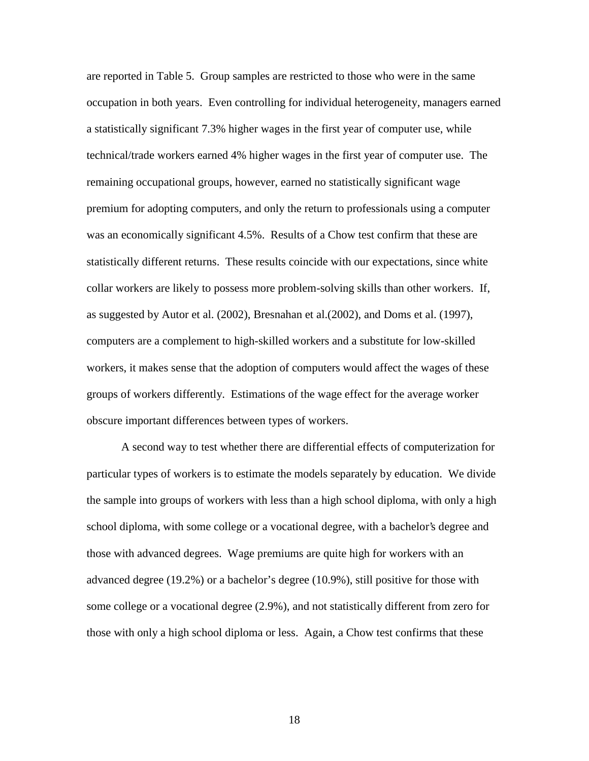are reported in Table 5. Group samples are restricted to those who were in the same occupation in both years. Even controlling for individual heterogeneity, managers earned a statistically significant 7.3% higher wages in the first year of computer use, while technical/trade workers earned 4% higher wages in the first year of computer use. The remaining occupational groups, however, earned no statistically significant wage premium for adopting computers, and only the return to professionals using a computer was an economically significant 4.5%. Results of a Chow test confirm that these are statistically different returns. These results coincide with our expectations, since white collar workers are likely to possess more problem-solving skills than other workers. If, as suggested by Autor et al. (2002), Bresnahan et al.(2002), and Doms et al. (1997), computers are a complement to high-skilled workers and a substitute for low-skilled workers, it makes sense that the adoption of computers would affect the wages of these groups of workers differently. Estimations of the wage effect for the average worker obscure important differences between types of workers.

 A second way to test whether there are differential effects of computerization for particular types of workers is to estimate the models separately by education. We divide the sample into groups of workers with less than a high school diploma, with only a high school diploma, with some college or a vocational degree, with a bachelor's degree and those with advanced degrees. Wage premiums are quite high for workers with an advanced degree (19.2%) or a bachelor's degree (10.9%), still positive for those with some college or a vocational degree (2.9%), and not statistically different from zero for those with only a high school diploma or less. Again, a Chow test confirms that these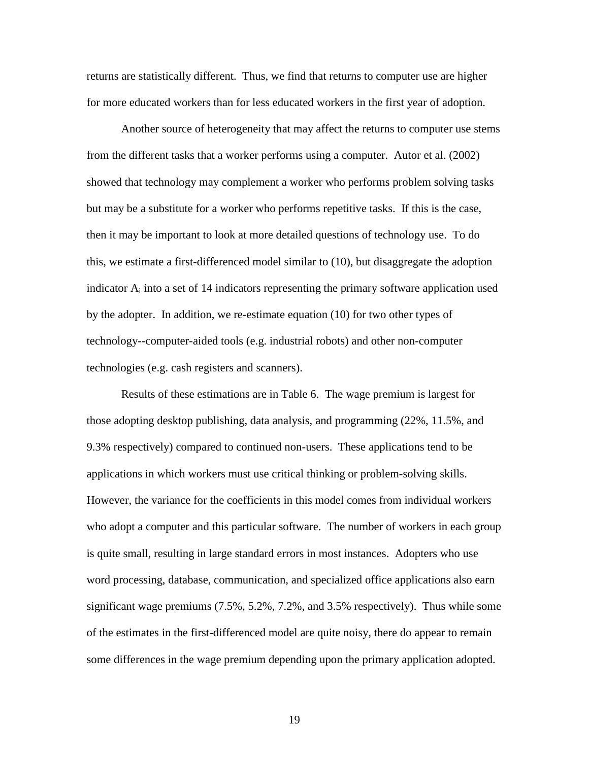returns are statistically different. Thus, we find that returns to computer use are higher for more educated workers than for less educated workers in the first year of adoption.

Another source of heterogeneity that may affect the returns to computer use stems from the different tasks that a worker performs using a computer. Autor et al. (2002) showed that technology may complement a worker who performs problem solving tasks but may be a substitute for a worker who performs repetitive tasks. If this is the case, then it may be important to look at more detailed questions of technology use. To do this, we estimate a first-differenced model similar to (10), but disaggregate the adoption indicator  $A_i$  into a set of 14 indicators representing the primary software application used by the adopter. In addition, we re-estimate equation (10) for two other types of technology--computer-aided tools (e.g. industrial robots) and other non-computer technologies (e.g. cash registers and scanners).

 Results of these estimations are in Table 6. The wage premium is largest for those adopting desktop publishing, data analysis, and programming (22%, 11.5%, and 9.3% respectively) compared to continued non-users. These applications tend to be applications in which workers must use critical thinking or problem-solving skills. However, the variance for the coefficients in this model comes from individual workers who adopt a computer and this particular software. The number of workers in each group is quite small, resulting in large standard errors in most instances. Adopters who use word processing, database, communication, and specialized office applications also earn significant wage premiums (7.5%, 5.2%, 7.2%, and 3.5% respectively). Thus while some of the estimates in the first-differenced model are quite noisy, there do appear to remain some differences in the wage premium depending upon the primary application adopted.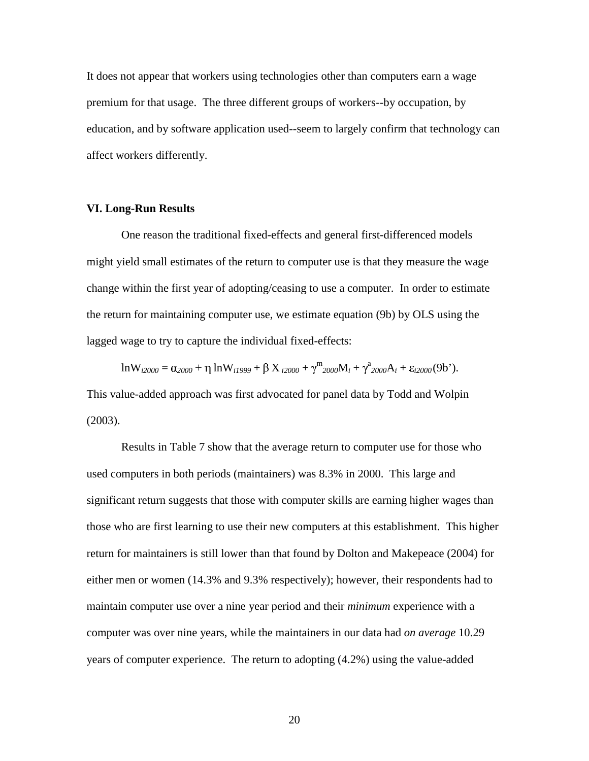It does not appear that workers using technologies other than computers earn a wage premium for that usage. The three different groups of workers--by occupation, by education, and by software application used--seem to largely confirm that technology can affect workers differently.

## **VI. Long-Run Results**

 One reason the traditional fixed-effects and general first-differenced models might yield small estimates of the return to computer use is that they measure the wage change within the first year of adopting/ceasing to use a computer. In order to estimate the return for maintaining computer use, we estimate equation (9b) by OLS using the lagged wage to try to capture the individual fixed-effects:

 $\ln W_{i2000} = \alpha_{2000} + \eta \ln W_{i1999} + \beta X_{i2000} + \gamma^{m}_{2000}M_{i} + \gamma^{a}_{2000}A_{i} + \varepsilon_{i2000}(9b^{\prime}).$ 

This value-added approach was first advocated for panel data by Todd and Wolpin (2003).

 Results in Table 7 show that the average return to computer use for those who used computers in both periods (maintainers) was 8.3% in 2000. This large and significant return suggests that those with computer skills are earning higher wages than those who are first learning to use their new computers at this establishment. This higher return for maintainers is still lower than that found by Dolton and Makepeace (2004) for either men or women (14.3% and 9.3% respectively); however, their respondents had to maintain computer use over a nine year period and their *minimum* experience with a computer was over nine years, while the maintainers in our data had *on average* 10.29 years of computer experience. The return to adopting (4.2%) using the value-added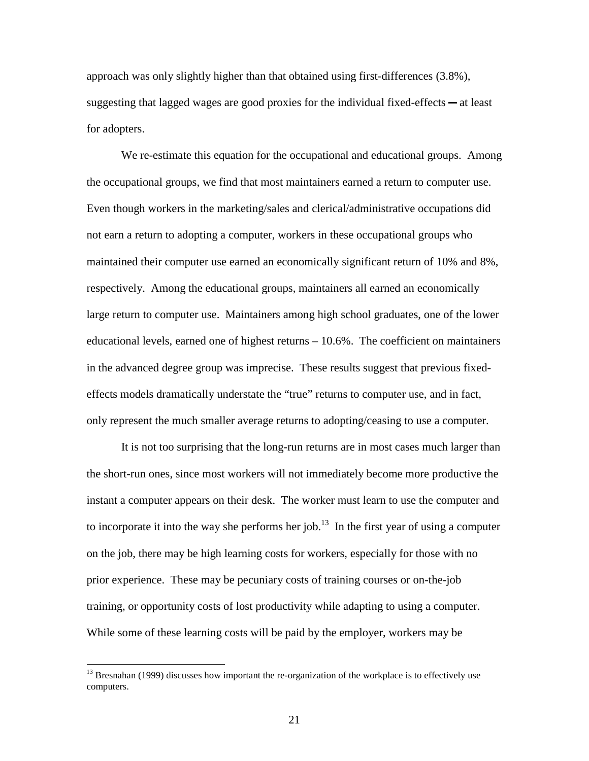approach was only slightly higher than that obtained using first-differences (3.8%), suggesting that lagged wages are good proxies for the individual fixed-effects  $-\alpha t$  least for adopters.

 We re-estimate this equation for the occupational and educational groups. Among the occupational groups, we find that most maintainers earned a return to computer use. Even though workers in the marketing/sales and clerical/administrative occupations did not earn a return to adopting a computer, workers in these occupational groups who maintained their computer use earned an economically significant return of 10% and 8%, respectively. Among the educational groups, maintainers all earned an economically large return to computer use. Maintainers among high school graduates, one of the lower educational levels, earned one of highest returns – 10.6%. The coefficient on maintainers in the advanced degree group was imprecise. These results suggest that previous fixedeffects models dramatically understate the "true" returns to computer use, and in fact, only represent the much smaller average returns to adopting/ceasing to use a computer.

 It is not too surprising that the long-run returns are in most cases much larger than the short-run ones, since most workers will not immediately become more productive the instant a computer appears on their desk. The worker must learn to use the computer and to incorporate it into the way she performs her job.<sup>13</sup> In the first year of using a computer on the job, there may be high learning costs for workers, especially for those with no prior experience. These may be pecuniary costs of training courses or on-the-job training, or opportunity costs of lost productivity while adapting to using a computer. While some of these learning costs will be paid by the employer, workers may be

 $\overline{a}$ 

<sup>&</sup>lt;sup>13</sup> Bresnahan (1999) discusses how important the re-organization of the workplace is to effectively use computers.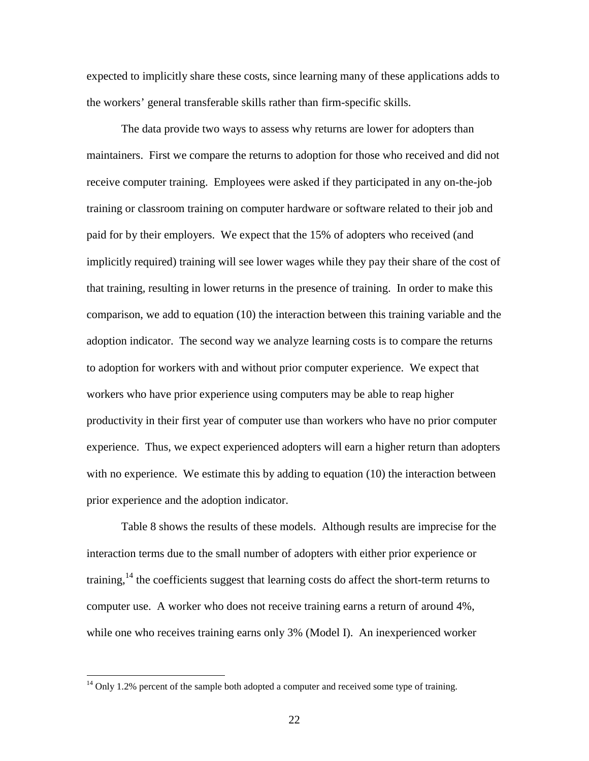expected to implicitly share these costs, since learning many of these applications adds to the workers' general transferable skills rather than firm-specific skills.

 The data provide two ways to assess why returns are lower for adopters than maintainers. First we compare the returns to adoption for those who received and did not receive computer training. Employees were asked if they participated in any on-the-job training or classroom training on computer hardware or software related to their job and paid for by their employers. We expect that the 15% of adopters who received (and implicitly required) training will see lower wages while they pay their share of the cost of that training, resulting in lower returns in the presence of training. In order to make this comparison, we add to equation (10) the interaction between this training variable and the adoption indicator. The second way we analyze learning costs is to compare the returns to adoption for workers with and without prior computer experience. We expect that workers who have prior experience using computers may be able to reap higher productivity in their first year of computer use than workers who have no prior computer experience. Thus, we expect experienced adopters will earn a higher return than adopters with no experience. We estimate this by adding to equation (10) the interaction between prior experience and the adoption indicator.

 Table 8 shows the results of these models. Although results are imprecise for the interaction terms due to the small number of adopters with either prior experience or training,  $14$  the coefficients suggest that learning costs do affect the short-term returns to computer use. A worker who does not receive training earns a return of around 4%, while one who receives training earns only 3% (Model I). An inexperienced worker

 $\overline{a}$ 

 $14$  Only 1.2% percent of the sample both adopted a computer and received some type of training.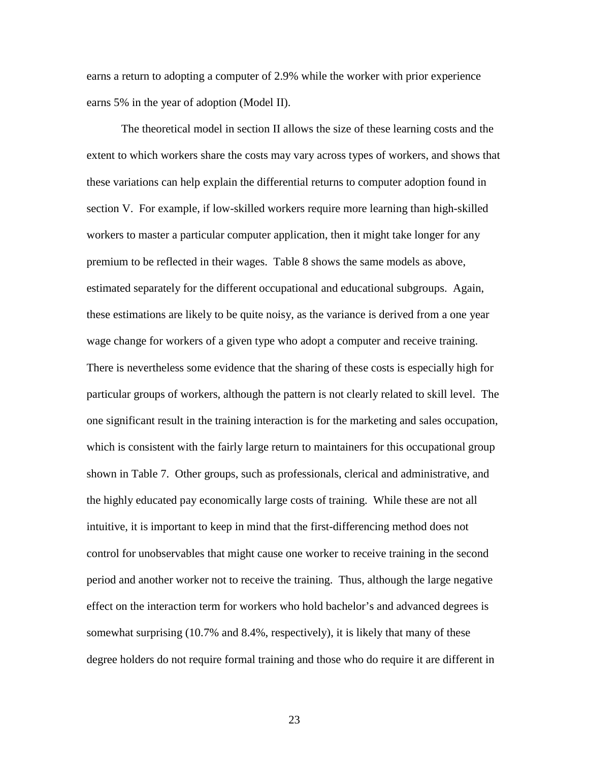earns a return to adopting a computer of 2.9% while the worker with prior experience earns 5% in the year of adoption (Model II).

 The theoretical model in section II allows the size of these learning costs and the extent to which workers share the costs may vary across types of workers, and shows that these variations can help explain the differential returns to computer adoption found in section V. For example, if low-skilled workers require more learning than high-skilled workers to master a particular computer application, then it might take longer for any premium to be reflected in their wages. Table 8 shows the same models as above, estimated separately for the different occupational and educational subgroups. Again, these estimations are likely to be quite noisy, as the variance is derived from a one year wage change for workers of a given type who adopt a computer and receive training. There is nevertheless some evidence that the sharing of these costs is especially high for particular groups of workers, although the pattern is not clearly related to skill level. The one significant result in the training interaction is for the marketing and sales occupation, which is consistent with the fairly large return to maintainers for this occupational group shown in Table 7. Other groups, such as professionals, clerical and administrative, and the highly educated pay economically large costs of training. While these are not all intuitive, it is important to keep in mind that the first-differencing method does not control for unobservables that might cause one worker to receive training in the second period and another worker not to receive the training. Thus, although the large negative effect on the interaction term for workers who hold bachelor's and advanced degrees is somewhat surprising (10.7% and 8.4%, respectively), it is likely that many of these degree holders do not require formal training and those who do require it are different in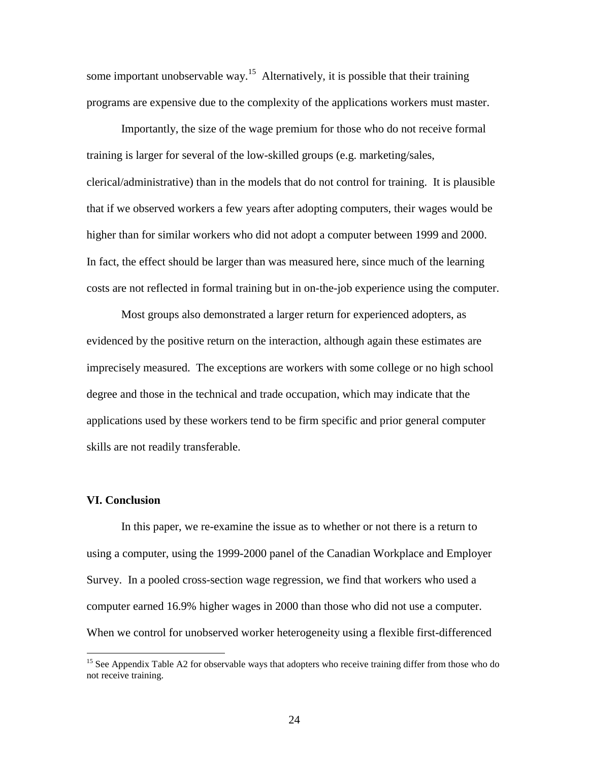some important unobservable way.<sup>15</sup> Alternatively, it is possible that their training programs are expensive due to the complexity of the applications workers must master.

 Importantly, the size of the wage premium for those who do not receive formal training is larger for several of the low-skilled groups (e.g. marketing/sales, clerical/administrative) than in the models that do not control for training. It is plausible that if we observed workers a few years after adopting computers, their wages would be higher than for similar workers who did not adopt a computer between 1999 and 2000. In fact, the effect should be larger than was measured here, since much of the learning costs are not reflected in formal training but in on-the-job experience using the computer.

 Most groups also demonstrated a larger return for experienced adopters, as evidenced by the positive return on the interaction, although again these estimates are imprecisely measured. The exceptions are workers with some college or no high school degree and those in the technical and trade occupation, which may indicate that the applications used by these workers tend to be firm specific and prior general computer skills are not readily transferable.

#### **VI. Conclusion**

 $\overline{a}$ 

In this paper, we re-examine the issue as to whether or not there is a return to using a computer, using the 1999-2000 panel of the Canadian Workplace and Employer Survey. In a pooled cross-section wage regression, we find that workers who used a computer earned 16.9% higher wages in 2000 than those who did not use a computer. When we control for unobserved worker heterogeneity using a flexible first-differenced

<sup>&</sup>lt;sup>15</sup> See Appendix Table A2 for observable ways that adopters who receive training differ from those who do not receive training.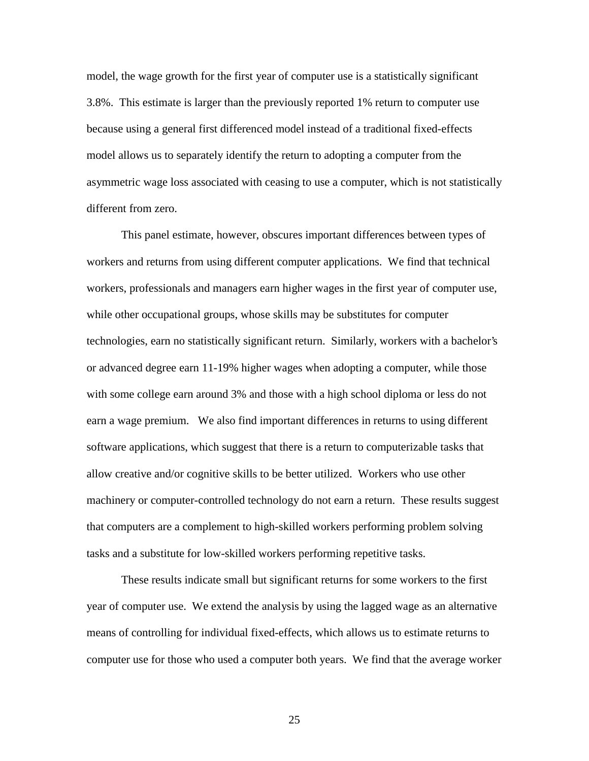model, the wage growth for the first year of computer use is a statistically significant 3.8%. This estimate is larger than the previously reported 1% return to computer use because using a general first differenced model instead of a traditional fixed-effects model allows us to separately identify the return to adopting a computer from the asymmetric wage loss associated with ceasing to use a computer, which is not statistically different from zero.

This panel estimate, however, obscures important differences between types of workers and returns from using different computer applications. We find that technical workers, professionals and managers earn higher wages in the first year of computer use, while other occupational groups, whose skills may be substitutes for computer technologies, earn no statistically significant return. Similarly, workers with a bachelor's or advanced degree earn 11-19% higher wages when adopting a computer, while those with some college earn around 3% and those with a high school diploma or less do not earn a wage premium. We also find important differences in returns to using different software applications, which suggest that there is a return to computerizable tasks that allow creative and/or cognitive skills to be better utilized. Workers who use other machinery or computer-controlled technology do not earn a return. These results suggest that computers are a complement to high-skilled workers performing problem solving tasks and a substitute for low-skilled workers performing repetitive tasks.

 These results indicate small but significant returns for some workers to the first year of computer use. We extend the analysis by using the lagged wage as an alternative means of controlling for individual fixed-effects, which allows us to estimate returns to computer use for those who used a computer both years. We find that the average worker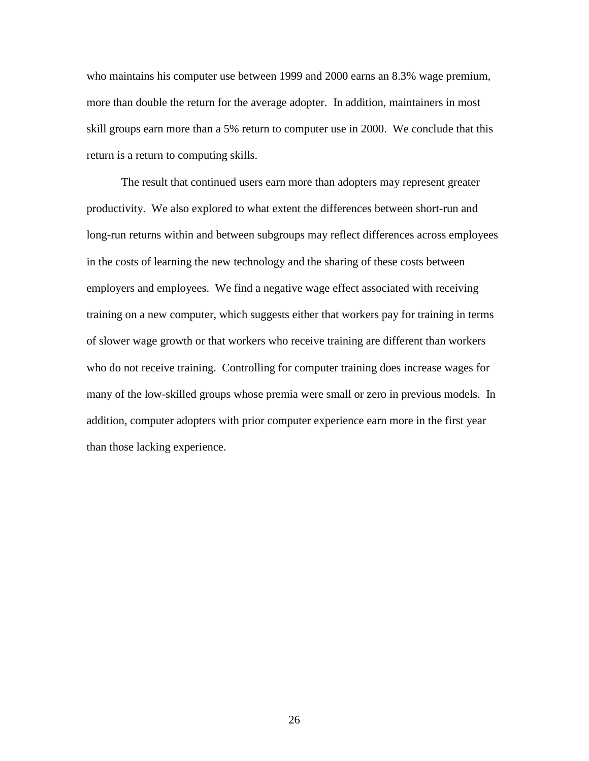who maintains his computer use between 1999 and 2000 earns an 8.3% wage premium, more than double the return for the average adopter. In addition, maintainers in most skill groups earn more than a 5% return to computer use in 2000. We conclude that this return is a return to computing skills.

 The result that continued users earn more than adopters may represent greater productivity. We also explored to what extent the differences between short-run and long-run returns within and between subgroups may reflect differences across employees in the costs of learning the new technology and the sharing of these costs between employers and employees. We find a negative wage effect associated with receiving training on a new computer, which suggests either that workers pay for training in terms of slower wage growth or that workers who receive training are different than workers who do not receive training. Controlling for computer training does increase wages for many of the low-skilled groups whose premia were small or zero in previous models. In addition, computer adopters with prior computer experience earn more in the first year than those lacking experience.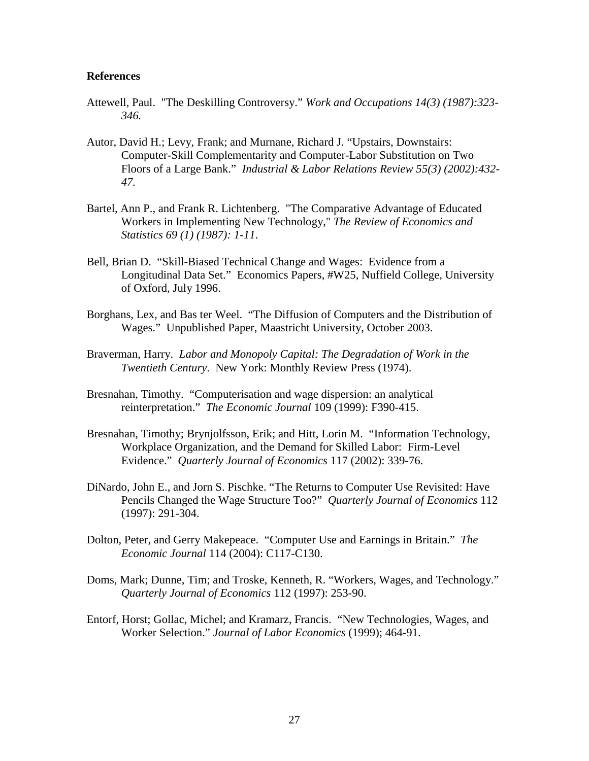## **References**

- Attewell, Paul. "The Deskilling Controversy." *Work and Occupations 14(3) (1987):323- 346.*
- Autor, David H.; Levy, Frank; and Murnane, Richard J. "Upstairs, Downstairs: Computer-Skill Complementarity and Computer-Labor Substitution on Two Floors of a Large Bank." *Industrial & Labor Relations Review 55(3) (2002):432- 47.*
- Bartel, Ann P., and Frank R. Lichtenberg. "The Comparative Advantage of Educated Workers in Implementing New Technology," *The Review of Economics and Statistics 69 (1) (1987): 1-11*.
- Bell, Brian D. "Skill-Biased Technical Change and Wages: Evidence from a Longitudinal Data Set." Economics Papers, #W25, Nuffield College, University of Oxford, July 1996.
- Borghans, Lex, and Bas ter Weel. "The Diffusion of Computers and the Distribution of Wages." Unpublished Paper, Maastricht University, October 2003.
- Braverman, Harry. *Labor and Monopoly Capital: The Degradation of Work in the Twentieth Century*. New York: Monthly Review Press (1974).
- Bresnahan, Timothy. "Computerisation and wage dispersion: an analytical reinterpretation." *The Economic Journal* 109 (1999): F390-415.
- Bresnahan, Timothy; Brynjolfsson, Erik; and Hitt, Lorin M. "Information Technology, Workplace Organization, and the Demand for Skilled Labor: Firm-Level Evidence." *Quarterly Journal of Economics* 117 (2002): 339-76.
- DiNardo, John E., and Jorn S. Pischke. "The Returns to Computer Use Revisited: Have Pencils Changed the Wage Structure Too?" *Quarterly Journal of Economics* 112 (1997): 291-304.
- Dolton, Peter, and Gerry Makepeace. "Computer Use and Earnings in Britain." *The Economic Journal* 114 (2004): C117-C130.
- Doms, Mark; Dunne, Tim; and Troske, Kenneth, R. "Workers, Wages, and Technology." *Quarterly Journal of Economics* 112 (1997): 253-90.
- Entorf, Horst; Gollac, Michel; and Kramarz, Francis. "New Technologies, Wages, and Worker Selection." *Journal of Labor Economics* (1999); 464-91.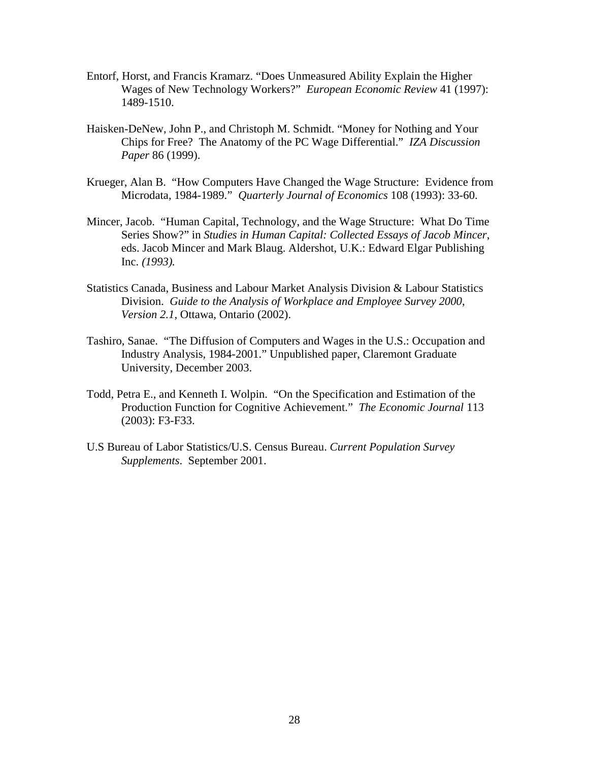- Entorf, Horst, and Francis Kramarz. "Does Unmeasured Ability Explain the Higher Wages of New Technology Workers?" *European Economic Review* 41 (1997): 1489-1510.
- Haisken-DeNew, John P., and Christoph M. Schmidt. "Money for Nothing and Your Chips for Free? The Anatomy of the PC Wage Differential." *IZA Discussion Paper* 86 (1999).
- Krueger, Alan B. "How Computers Have Changed the Wage Structure: Evidence from Microdata, 1984-1989." *Quarterly Journal of Economics* 108 (1993): 33-60.
- Mincer, Jacob. "Human Capital, Technology, and the Wage Structure: What Do Time Series Show?" in *Studies in Human Capital: Collected Essays of Jacob Mincer*, eds. Jacob Mincer and Mark Blaug. Aldershot, U.K.: Edward Elgar Publishing Inc. *(1993).*
- Statistics Canada, Business and Labour Market Analysis Division & Labour Statistics Division. *Guide to the Analysis of Workplace and Employee Survey 2000*, *Version 2.1,* Ottawa, Ontario (2002).
- Tashiro, Sanae. "The Diffusion of Computers and Wages in the U.S.: Occupation and Industry Analysis, 1984-2001." Unpublished paper, Claremont Graduate University, December 2003.
- Todd, Petra E., and Kenneth I. Wolpin. "On the Specification and Estimation of the Production Function for Cognitive Achievement." *The Economic Journal* 113 (2003): F3-F33.
- U.S Bureau of Labor Statistics/U.S. Census Bureau. *Current Population Survey Supplements*. September 2001.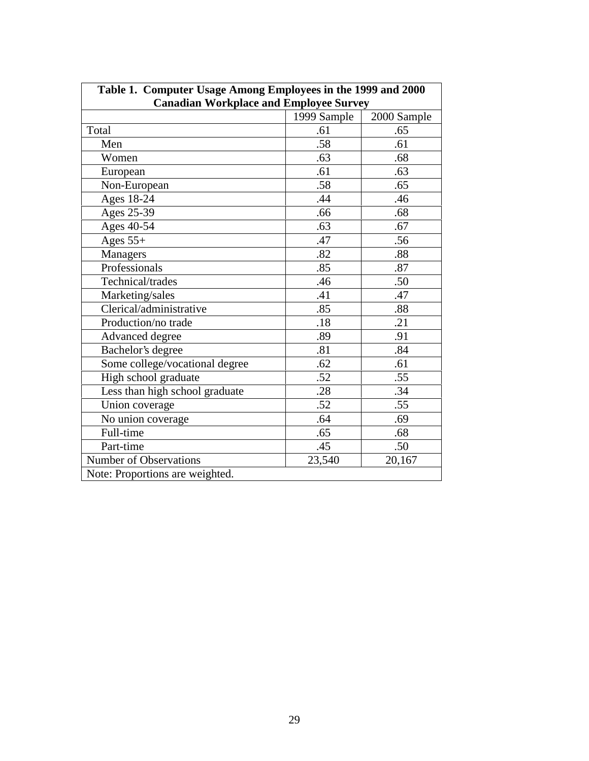| Table 1. Computer Usage Among Employees in the 1999 and 2000 |             |             |  |  |  |
|--------------------------------------------------------------|-------------|-------------|--|--|--|
| <b>Canadian Workplace and Employee Survey</b>                |             |             |  |  |  |
|                                                              | 1999 Sample | 2000 Sample |  |  |  |
| Total                                                        | .61         | .65         |  |  |  |
| Men                                                          | .58         | .61         |  |  |  |
| Women                                                        | .63         | .68         |  |  |  |
| European                                                     | .61         | .63         |  |  |  |
| Non-European                                                 | .58         | .65         |  |  |  |
| Ages 18-24                                                   | .44         | .46         |  |  |  |
| Ages 25-39                                                   | .66         | .68         |  |  |  |
| Ages 40-54                                                   | .63         | .67         |  |  |  |
| Ages $55+$                                                   | .47         | .56         |  |  |  |
| <b>Managers</b>                                              | .82         | .88         |  |  |  |
| Professionals                                                | .85         | .87         |  |  |  |
| Technical/trades                                             | .46         | .50         |  |  |  |
| Marketing/sales                                              | .41         | .47         |  |  |  |
| Clerical/administrative                                      | .85         | .88         |  |  |  |
| Production/no trade                                          | .18         | .21         |  |  |  |
| Advanced degree                                              | .89         | .91         |  |  |  |
| Bachelor's degree                                            | .81         | .84         |  |  |  |
| Some college/vocational degree                               | .62         | .61         |  |  |  |
| High school graduate                                         | .52         | .55         |  |  |  |
| Less than high school graduate                               | .28         | .34         |  |  |  |
| Union coverage                                               | .52         | .55         |  |  |  |
| No union coverage                                            | .64         | .69         |  |  |  |
| Full-time                                                    | .65         | .68         |  |  |  |
| Part-time                                                    | .45         | .50         |  |  |  |
| <b>Number of Observations</b>                                | 23,540      | 20,167      |  |  |  |
| Note: Proportions are weighted.                              |             |             |  |  |  |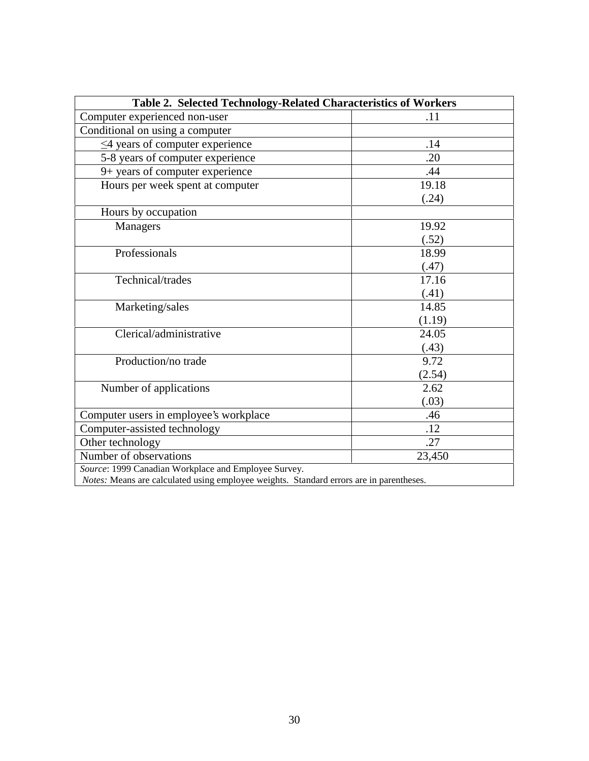| Table 2. Selected Technology-Related Characteristics of Workers                         |        |  |  |  |
|-----------------------------------------------------------------------------------------|--------|--|--|--|
| Computer experienced non-user                                                           | .11    |  |  |  |
| Conditional on using a computer                                                         |        |  |  |  |
| $\leq$ 4 years of computer experience                                                   | .14    |  |  |  |
| 5-8 years of computer experience                                                        | .20    |  |  |  |
| 9+ years of computer experience                                                         | .44    |  |  |  |
| Hours per week spent at computer                                                        | 19.18  |  |  |  |
|                                                                                         | (.24)  |  |  |  |
| Hours by occupation                                                                     |        |  |  |  |
| <b>Managers</b>                                                                         | 19.92  |  |  |  |
|                                                                                         | (.52)  |  |  |  |
| Professionals                                                                           | 18.99  |  |  |  |
|                                                                                         | (.47)  |  |  |  |
| Technical/trades                                                                        | 17.16  |  |  |  |
|                                                                                         | (.41)  |  |  |  |
| Marketing/sales                                                                         | 14.85  |  |  |  |
|                                                                                         | (1.19) |  |  |  |
| Clerical/administrative                                                                 | 24.05  |  |  |  |
|                                                                                         | (.43)  |  |  |  |
| Production/no trade                                                                     | 9.72   |  |  |  |
|                                                                                         | (2.54) |  |  |  |
| Number of applications                                                                  | 2.62   |  |  |  |
|                                                                                         | (.03)  |  |  |  |
| Computer users in employee's workplace                                                  | .46    |  |  |  |
| Computer-assisted technology                                                            | .12    |  |  |  |
| Other technology                                                                        | .27    |  |  |  |
| Number of observations                                                                  | 23,450 |  |  |  |
| Source: 1999 Canadian Workplace and Employee Survey.                                    |        |  |  |  |
| Notes: Means are calculated using employee weights. Standard errors are in parentheses. |        |  |  |  |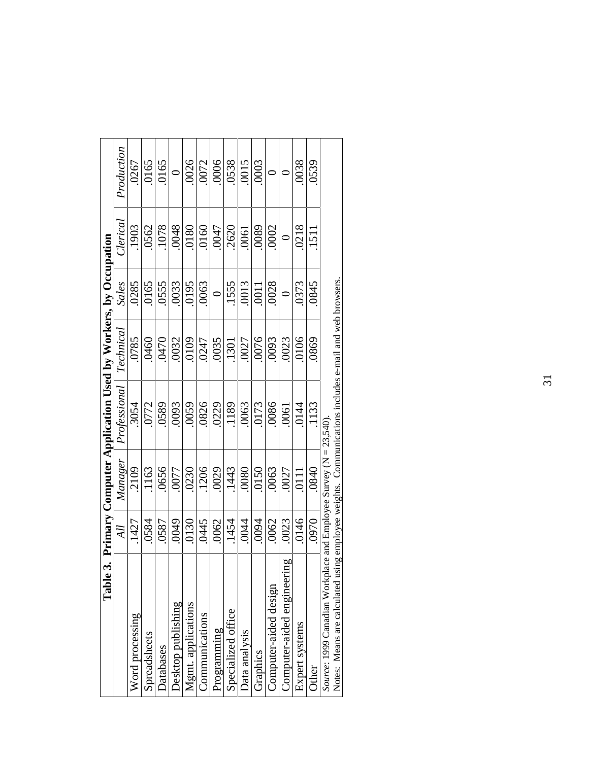| Table                                                                                                |       |                | 3. Primary Computer Application Used by Workers, by Occupation |           |              |             |            |
|------------------------------------------------------------------------------------------------------|-------|----------------|----------------------------------------------------------------|-----------|--------------|-------------|------------|
|                                                                                                      | All   | Manager        | Professional                                                   | Technical | <b>Sales</b> | Clerical    | Production |
| Word processing                                                                                      | .1427 | .2109          | .3054                                                          | .0785     | .0285        | .1903       | .0267      |
| Spreadsheets                                                                                         | .0584 | .1163          | .0772                                                          | .0460     | .0165        | .0562       | .0165      |
| Databases                                                                                            | .0587 | .0656          | .0589                                                          | 0470      | .0555        | .1078       | .0165      |
| Desktop publishing                                                                                   | 0049  | .0077          | .0093                                                          | .0032     | .0033        | .0048       |            |
| Mgmt. applications                                                                                   | 0130  | .0230          | .0059                                                          | .0109     | .0195        | 0180        | .0026      |
| Communications                                                                                       | 0445  | .1206          | .0826                                                          | 0247      | .0063        | .0160       | .0072      |
| Programming                                                                                          | .0062 | .0029          | .0229                                                          | .0035     | $\circ$      | <b>CFOO</b> | .0006      |
| Specialized office                                                                                   | .1454 | .1443          | .1189                                                          | .1301     | .1555        | .2620       | .0538      |
| Data analysis                                                                                        | .0044 | .0800          | .0063                                                          | .0027     | .0013        | .0061       | .0015      |
| Graphics                                                                                             | .0094 | .0150          | .0173                                                          | .0076     | .0011        | .0089       | .0003      |
| Computer-aided design                                                                                | .0062 | .0063          | .0086                                                          | .0093     | .0028        | .0002       |            |
| $\overline{a}$<br>Computer-aided engineeri                                                           | 0023  | .0027          | .0061                                                          | .0023     |              |             |            |
| Expert systems                                                                                       | 0146  | $\overline{0}$ | .0144                                                          | .0106     | .0373        | .0218       | .0038      |
| Other                                                                                                | .0970 | .0840          | .1133                                                          | 0869      | .0845        | 1511        | 0539       |
| Source: 1999 Canadian Workplace and Employee Survey ( $N = 23,540$ ).                                |       |                |                                                                |           |              |             |            |
| Notes: Means are calculated using employee weights. Communications includes e-mail and web browsers. |       |                |                                                                |           |              |             |            |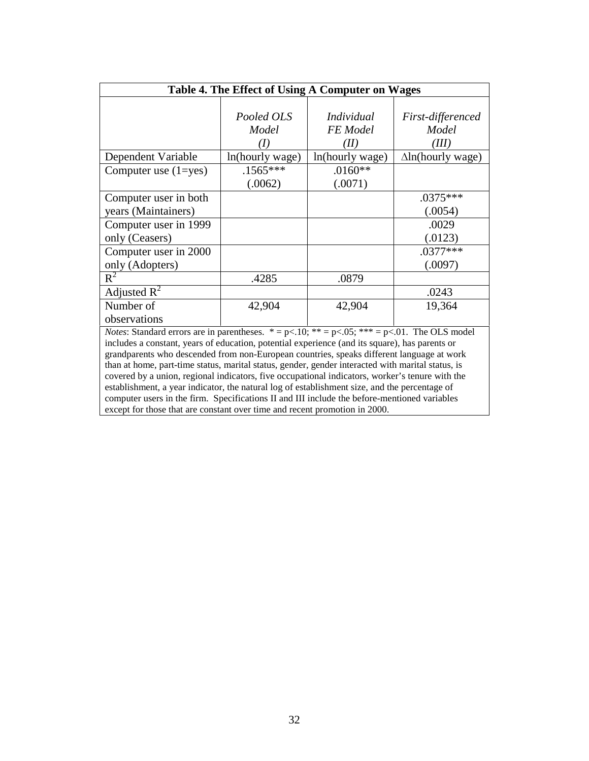| Table 4. The Effect of Using A Computer on Wages                                                                                    |                 |                   |                          |  |  |
|-------------------------------------------------------------------------------------------------------------------------------------|-----------------|-------------------|--------------------------|--|--|
|                                                                                                                                     |                 |                   |                          |  |  |
|                                                                                                                                     | Pooled OLS      | <i>Individual</i> | First-differenced        |  |  |
|                                                                                                                                     | Model           | FE Model          | Model                    |  |  |
|                                                                                                                                     | (I)             | (II)              | (III)                    |  |  |
| Dependent Variable                                                                                                                  | ln(hourly wage) | ln(hourly wage)   | $\Delta$ ln(hourly wage) |  |  |
| Computer use $(1 = yes)$                                                                                                            | $.1565***$      | $.0160**$         |                          |  |  |
|                                                                                                                                     | (.0062)         | (.0071)           |                          |  |  |
| Computer user in both                                                                                                               |                 |                   | .0375***                 |  |  |
| years (Maintainers)                                                                                                                 |                 |                   | (.0054)                  |  |  |
| Computer user in 1999                                                                                                               |                 |                   | .0029                    |  |  |
| only (Ceasers)                                                                                                                      |                 |                   | (.0123)                  |  |  |
| Computer user in 2000                                                                                                               |                 |                   | $.0377***$               |  |  |
| only (Adopters)                                                                                                                     |                 |                   | (.0097)                  |  |  |
| $R^2$                                                                                                                               | .4285           | .0879             |                          |  |  |
| Adjusted $R^2$                                                                                                                      |                 |                   | .0243                    |  |  |
| Number of                                                                                                                           | 42,904          | 42,904            | 19,364                   |  |  |
| observations                                                                                                                        |                 |                   |                          |  |  |
| <i>Notes:</i> Standard errors are in parentheses. $* = p \times 0.10$ ; $** = p \times 0.05$ ; $** = p \times 0.01$ . The OLS model |                 |                   |                          |  |  |
| includes a constant, years of education, potential experience (and its square), has parents or                                      |                 |                   |                          |  |  |
| grandparents who descended from non-European countries, speaks different language at work                                           |                 |                   |                          |  |  |
| than at home, part-time status, marital status, gender, gender interacted with marital status, is                                   |                 |                   |                          |  |  |
| covered by a union, regional indicators, five occupational indicators, worker's tenure with the                                     |                 |                   |                          |  |  |
| establishment, a year indicator, the natural log of establishment size, and the percentage of                                       |                 |                   |                          |  |  |
| computer users in the firm. Specifications II and III include the before-mentioned variables                                        |                 |                   |                          |  |  |
| except for those that are constant over time and recent promotion in 2000.                                                          |                 |                   |                          |  |  |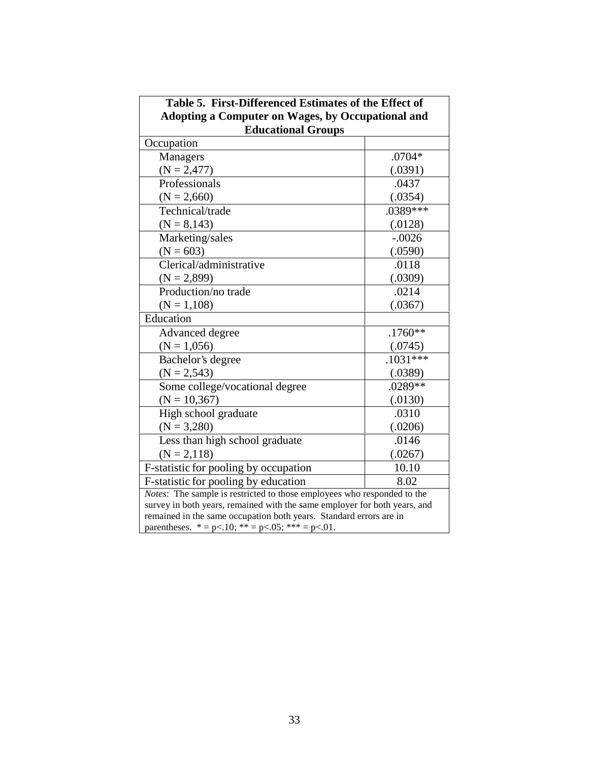| Table 5. First-Differenced Estimates of the Effect of                                                                                                                                                                                                                          |            |  |  |  |
|--------------------------------------------------------------------------------------------------------------------------------------------------------------------------------------------------------------------------------------------------------------------------------|------------|--|--|--|
| <b>Adopting a Computer on Wages, by Occupational and</b>                                                                                                                                                                                                                       |            |  |  |  |
| <b>Educational Groups</b>                                                                                                                                                                                                                                                      |            |  |  |  |
| Occupation                                                                                                                                                                                                                                                                     |            |  |  |  |
| Managers                                                                                                                                                                                                                                                                       | .0704*     |  |  |  |
| $(N = 2,477)$                                                                                                                                                                                                                                                                  | (.0391)    |  |  |  |
| Professionals<br>.0437                                                                                                                                                                                                                                                         |            |  |  |  |
| $(N = 2,660)$                                                                                                                                                                                                                                                                  | (.0354)    |  |  |  |
| .0389***<br>Technical/trade                                                                                                                                                                                                                                                    |            |  |  |  |
| $(N = 8,143)$                                                                                                                                                                                                                                                                  | (.0128)    |  |  |  |
| Marketing/sales                                                                                                                                                                                                                                                                | $-.0026$   |  |  |  |
| $(N = 603)$                                                                                                                                                                                                                                                                    | (.0590)    |  |  |  |
| Clerical/administrative                                                                                                                                                                                                                                                        | .0118      |  |  |  |
| $(N = 2,899)$                                                                                                                                                                                                                                                                  | (.0309)    |  |  |  |
| Production/no trade                                                                                                                                                                                                                                                            | .0214      |  |  |  |
| $(N = 1,108)$                                                                                                                                                                                                                                                                  | (.0367)    |  |  |  |
| Education                                                                                                                                                                                                                                                                      |            |  |  |  |
| Advanced degree                                                                                                                                                                                                                                                                | $.1760**$  |  |  |  |
| $(N = 1,056)$                                                                                                                                                                                                                                                                  | (.0745)    |  |  |  |
| Bachelor's degree                                                                                                                                                                                                                                                              | $.1031***$ |  |  |  |
| $(N = 2,543)$                                                                                                                                                                                                                                                                  | (.0389)    |  |  |  |
| Some college/vocational degree                                                                                                                                                                                                                                                 | $.0289**$  |  |  |  |
| $(N = 10,367)$                                                                                                                                                                                                                                                                 | (.0130)    |  |  |  |
| High school graduate                                                                                                                                                                                                                                                           | .0310      |  |  |  |
| $(N = 3,280)$                                                                                                                                                                                                                                                                  | (.0206)    |  |  |  |
| Less than high school graduate                                                                                                                                                                                                                                                 | .0146      |  |  |  |
|                                                                                                                                                                                                                                                                                |            |  |  |  |
| F-statistic for pooling by occupation                                                                                                                                                                                                                                          | 10.10      |  |  |  |
|                                                                                                                                                                                                                                                                                | 8.02       |  |  |  |
|                                                                                                                                                                                                                                                                                |            |  |  |  |
| survey in both years, remained with the same employer for both years, and                                                                                                                                                                                                      |            |  |  |  |
|                                                                                                                                                                                                                                                                                |            |  |  |  |
| $(N = 2,118)$<br>(.0267)<br>F-statistic for pooling by education<br>Notes: The sample is restricted to those employees who responded to the<br>remained in the same occupation both years. Standard errors are in<br>parentheses. $* = p<.10$ ; $** = p<.05$ ; $*** = p<.01$ . |            |  |  |  |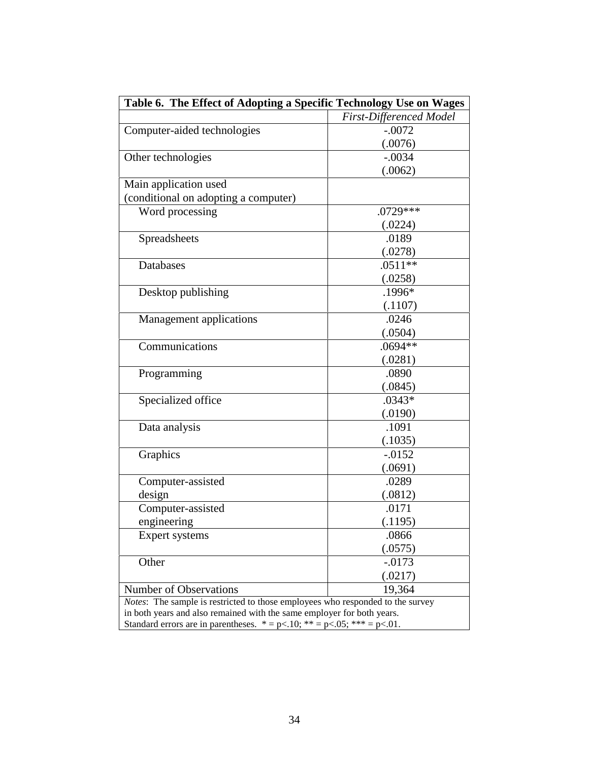| Table 6. The Effect of Adopting a Specific Technology Use on Wages                     |                                |  |
|----------------------------------------------------------------------------------------|--------------------------------|--|
|                                                                                        | <b>First-Differenced Model</b> |  |
| Computer-aided technologies                                                            | $-.0072$                       |  |
|                                                                                        | (.0076)                        |  |
| Other technologies                                                                     | $-.0034$                       |  |
|                                                                                        | (.0062)                        |  |
| Main application used                                                                  |                                |  |
| (conditional on adopting a computer)                                                   |                                |  |
| Word processing                                                                        | $.0729***$                     |  |
|                                                                                        | (.0224)                        |  |
| Spreadsheets                                                                           | .0189                          |  |
|                                                                                        | (.0278)                        |  |
| Databases                                                                              | $.0511**$                      |  |
|                                                                                        | (.0258)                        |  |
| Desktop publishing                                                                     | .1996*                         |  |
|                                                                                        | (.1107)                        |  |
| Management applications                                                                | .0246                          |  |
|                                                                                        | (.0504)                        |  |
| Communications                                                                         | $.0694**$                      |  |
|                                                                                        | (.0281)                        |  |
| Programming                                                                            | .0890                          |  |
|                                                                                        | (.0845)                        |  |
| Specialized office                                                                     | $.0343*$                       |  |
|                                                                                        | (.0190)                        |  |
| Data analysis                                                                          | .1091                          |  |
|                                                                                        | (.1035)                        |  |
| Graphics                                                                               | $-0.0152$                      |  |
|                                                                                        | (.0691)                        |  |
| Computer-assisted                                                                      | .0289                          |  |
| design                                                                                 | (.0812)                        |  |
| Computer-assisted                                                                      | .0171                          |  |
| engineering                                                                            | (.1195)                        |  |
| Expert systems                                                                         | .0866                          |  |
|                                                                                        | (.0575)                        |  |
| Other                                                                                  | $-.0173$                       |  |
|                                                                                        | (.0217)                        |  |
| <b>Number of Observations</b>                                                          | 19,364                         |  |
| Notes: The sample is restricted to those employees who responded to the survey         |                                |  |
| in both years and also remained with the same employer for both years.                 |                                |  |
| Standard errors are in parentheses. $* = p < .10$ ; $** = p < .05$ ; $*** = p < .01$ . |                                |  |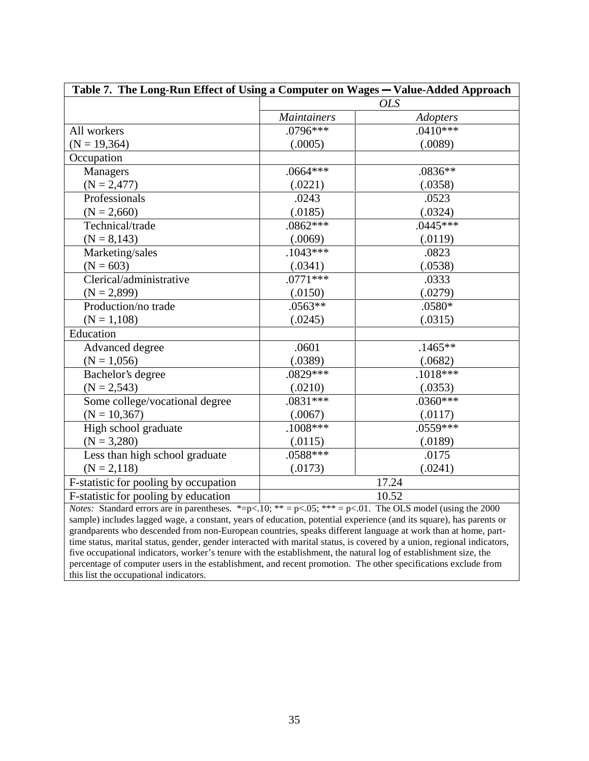| Table 7. The Long-Run Effect of Using a Computer on Wages - Value-Added Approach                                                                                                                                                            |                    |                 |  |  |
|---------------------------------------------------------------------------------------------------------------------------------------------------------------------------------------------------------------------------------------------|--------------------|-----------------|--|--|
|                                                                                                                                                                                                                                             | <b>OLS</b>         |                 |  |  |
|                                                                                                                                                                                                                                             | <i>Maintainers</i> | <b>Adopters</b> |  |  |
| All workers                                                                                                                                                                                                                                 | $.0796***$         | $.0410***$      |  |  |
| $(N = 19, 364)$                                                                                                                                                                                                                             | (.0005)            | (.0089)         |  |  |
| Occupation                                                                                                                                                                                                                                  |                    |                 |  |  |
| Managers                                                                                                                                                                                                                                    | $.0664***$         | $.0836**$       |  |  |
| $(N = 2,477)$                                                                                                                                                                                                                               | (.0221)            | (.0358)         |  |  |
| Professionals                                                                                                                                                                                                                               | .0243              | .0523           |  |  |
| $(N = 2,660)$                                                                                                                                                                                                                               | (.0185)            | (.0324)         |  |  |
| Technical/trade                                                                                                                                                                                                                             | $.0862***$         | $.0445***$      |  |  |
| $(N = 8,143)$                                                                                                                                                                                                                               | (.0069)            | (.0119)         |  |  |
| Marketing/sales                                                                                                                                                                                                                             | $.1043***$         | .0823           |  |  |
| $(N = 603)$                                                                                                                                                                                                                                 | (.0341)            | (.0538)         |  |  |
| Clerical/administrative                                                                                                                                                                                                                     | $.0771***$         | .0333           |  |  |
| $(N = 2,899)$                                                                                                                                                                                                                               | (.0150)            | (.0279)         |  |  |
| Production/no trade                                                                                                                                                                                                                         | $.0563**$          | .0580*          |  |  |
| $(N = 1,108)$                                                                                                                                                                                                                               | (.0245)            | (.0315)         |  |  |
| Education                                                                                                                                                                                                                                   |                    |                 |  |  |
| Advanced degree                                                                                                                                                                                                                             | .0601              | $.1465**$       |  |  |
| $(N = 1,056)$                                                                                                                                                                                                                               | (.0389)            | (.0682)         |  |  |
| Bachelor's degree                                                                                                                                                                                                                           | $.0829***$         | $.1018***$      |  |  |
| $(N = 2,543)$                                                                                                                                                                                                                               | (.0210)            | (.0353)         |  |  |
| Some college/vocational degree                                                                                                                                                                                                              | $.0831***$         | $.0360***$      |  |  |
| $(N = 10, 367)$                                                                                                                                                                                                                             | (.0067)            | (.0117)         |  |  |
| High school graduate                                                                                                                                                                                                                        | $.1008***$         | $.0559***$      |  |  |
| $(N = 3,280)$                                                                                                                                                                                                                               | (.0115)            | (.0189)         |  |  |
| Less than high school graduate                                                                                                                                                                                                              | .0588***           | .0175           |  |  |
| $(N = 2,118)$                                                                                                                                                                                                                               | (.0173)            | (.0241)         |  |  |
| F-statistic for pooling by occupation                                                                                                                                                                                                       | 17.24              |                 |  |  |
| F-statistic for pooling by education                                                                                                                                                                                                        |                    | 10.52           |  |  |
| <i>Notes:</i> Standard errors are in parentheses. *= $p<.10$ ; ** = $p<.05$ ; *** = $p<.01$ . The OLS model (using the 2000)                                                                                                                |                    |                 |  |  |
| sample) includes lagged wage, a constant, years of education, potential experience (and its square), has parents or                                                                                                                         |                    |                 |  |  |
| grandparents who descended from non-European countries, speaks different language at work than at home, part-                                                                                                                               |                    |                 |  |  |
| time status, marital status, gender, gender interacted with marital status, is covered by a union, regional indicators,<br>five occupational indicators, worker's tenure with the establishment, the natural log of establishment size, the |                    |                 |  |  |
| percentage of computer users in the establishment, and recent promotion. The other specifications exclude from                                                                                                                              |                    |                 |  |  |

this list the occupational indicators.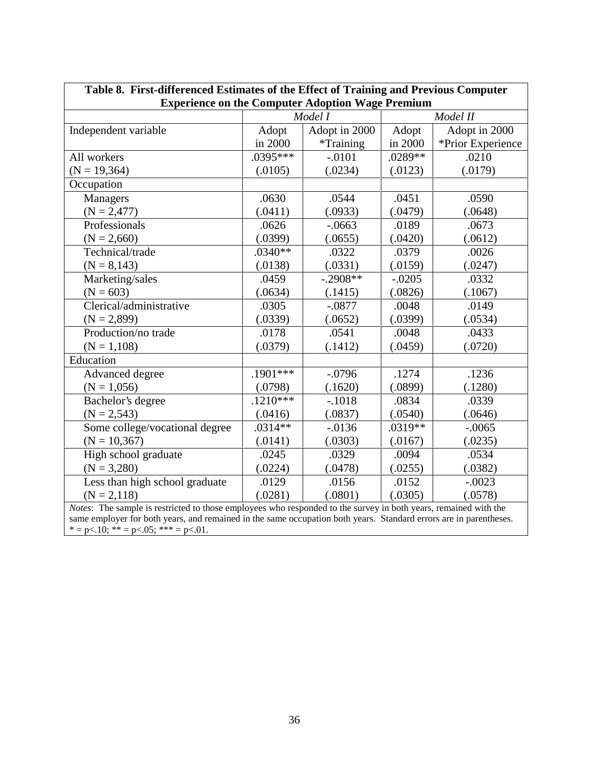| Table 8. First-differenced Estimates of the Effect of Training and Previous Computer                              |            |               |           |                   |  |
|-------------------------------------------------------------------------------------------------------------------|------------|---------------|-----------|-------------------|--|
| <b>Experience on the Computer Adoption Wage Premium</b>                                                           |            |               |           |                   |  |
|                                                                                                                   |            | Model I       |           | Model II          |  |
| Independent variable                                                                                              | Adopt      | Adopt in 2000 | Adopt     | Adopt in 2000     |  |
|                                                                                                                   | in 2000    | *Training     | in 2000   | *Prior Experience |  |
| All workers                                                                                                       | $.0395***$ | $-.0101$      | $.0289**$ | .0210             |  |
| $(N = 19, 364)$                                                                                                   | (.0105)    | (.0234)       | (.0123)   | (.0179)           |  |
| Occupation                                                                                                        |            |               |           |                   |  |
| Managers                                                                                                          | .0630      | .0544         | .0451     | .0590             |  |
| $(N = 2,477)$                                                                                                     | (.0411)    | (.0933)       | (.0479)   | (.0648)           |  |
| Professionals                                                                                                     | .0626      | $-.0663$      | .0189     | .0673             |  |
| $(N = 2,660)$                                                                                                     | (.0399)    | (.0655)       | (.0420)   | (.0612)           |  |
| Technical/trade                                                                                                   | $.0340**$  | .0322         | .0379     | .0026             |  |
| $(N = 8,143)$                                                                                                     | (.0138)    | (.0331)       | (.0159)   | (.0247)           |  |
| Marketing/sales                                                                                                   | .0459      | $-.2908**$    | $-.0205$  | .0332             |  |
| $(N = 603)$                                                                                                       | (.0634)    | (.1415)       | (.0826)   | (.1067)           |  |
| Clerical/administrative                                                                                           | .0305      | $-.0877$      | .0048     | .0149             |  |
| $(N = 2,899)$                                                                                                     | (.0339)    | (.0652)       | (.0399)   | (.0534)           |  |
| Production/no trade                                                                                               | .0178      | .0541         | .0048     | .0433             |  |
| $(N = 1,108)$                                                                                                     | (.0379)    | (.1412)       | (.0459)   | (.0720)           |  |
| Education                                                                                                         |            |               |           |                   |  |
| Advanced degree                                                                                                   | $.1901***$ | $-.0796$      | .1274     | .1236             |  |
| $(N = 1,056)$                                                                                                     | (.0798)    | (.1620)       | (.0899)   | (.1280)           |  |
| Bachelor's degree                                                                                                 | $.1210***$ | $-.1018$      | .0834     | .0339             |  |
| $(N = 2,543)$                                                                                                     | (.0416)    | (.0837)       | (.0540)   | (.0646)           |  |
| Some college/vocational degree                                                                                    | $.0314**$  | $-0.0136$     | $.0319**$ | $-.0065$          |  |
| $(N = 10, 367)$                                                                                                   | (.0141)    | (.0303)       | (.0167)   | (.0235)           |  |
| High school graduate                                                                                              | .0245      | .0329         | .0094     | .0534             |  |
| $(N = 3,280)$                                                                                                     | (.0224)    | (.0478)       | (.0255)   | (.0382)           |  |
| Less than high school graduate                                                                                    | .0129      | .0156         | .0152     | $-.0023$          |  |
| $(N = 2,118)$                                                                                                     | (.0281)    | (.0801)       | (.0305)   | (.0578)           |  |
| Notes: The sample is restricted to those employees who responded to the survey in both years, remained with the   |            |               |           |                   |  |
| same employer for both years, and remained in the same occupation both years. Standard errors are in parentheses. |            |               |           |                   |  |
| * = p < $\leq 10$ ; * * = p < $\leq 05$ ; * * * = p < $\leq 01$ .                                                 |            |               |           |                   |  |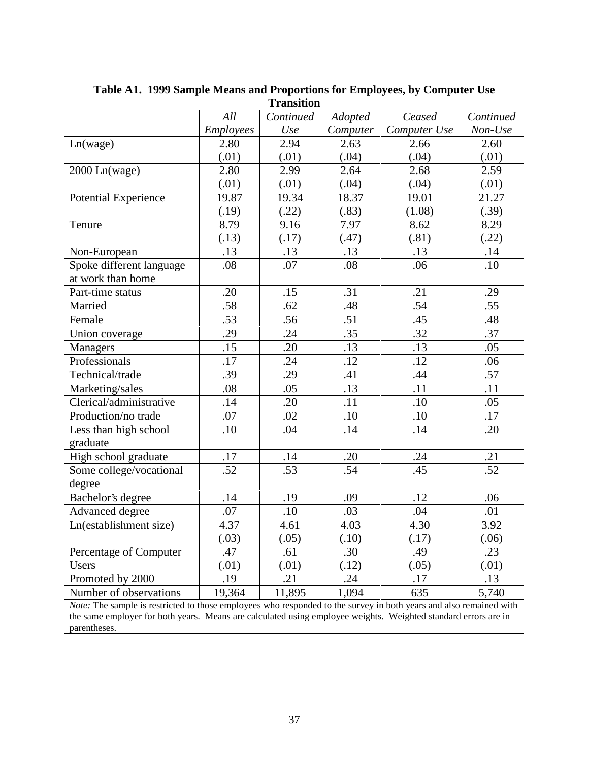| Table A1. 1999 Sample Means and Proportions for Employees, by Computer Use                                         |           |           |          |              |           |
|--------------------------------------------------------------------------------------------------------------------|-----------|-----------|----------|--------------|-----------|
| <b>Transition</b>                                                                                                  |           |           |          |              |           |
|                                                                                                                    | All       | Continued | Adopted  | Ceased       | Continued |
|                                                                                                                    | Employees | Use       | Computer | Computer Use | Non-Use   |
| Ln(wage)                                                                                                           | 2.80      | 2.94      | 2.63     | 2.66         | 2.60      |
|                                                                                                                    | (.01)     | (.01)     | (.04)    | (.04)        | (.01)     |
| 2000 Ln(wage)                                                                                                      | 2.80      | 2.99      | 2.64     | 2.68         | 2.59      |
|                                                                                                                    | (.01)     | (.01)     | (.04)    | (.04)        | (.01)     |
| Potential Experience                                                                                               | 19.87     | 19.34     | 18.37    | 19.01        | 21.27     |
|                                                                                                                    | (.19)     | (.22)     | (.83)    | (1.08)       | (.39)     |
| Tenure                                                                                                             | 8.79      | 9.16      | 7.97     | 8.62         | 8.29      |
|                                                                                                                    | (.13)     | (.17)     | (.47)    | (.81)        | (.22)     |
| Non-European                                                                                                       | .13       | .13       | .13      | .13          | .14       |
| Spoke different language                                                                                           | .08       | .07       | .08      | .06          | .10       |
| at work than home                                                                                                  |           |           |          |              |           |
| Part-time status                                                                                                   | .20       | .15       | .31      | .21          | .29       |
| Married                                                                                                            | .58       | .62       | .48      | .54          | .55       |
| Female                                                                                                             | .53       | .56       | .51      | .45          | .48       |
| Union coverage                                                                                                     | .29       | .24       | .35      | .32          | .37       |
| <b>Managers</b>                                                                                                    | .15       | .20       | .13      | .13          | .05       |
| Professionals                                                                                                      | .17       | .24       | .12      | .12          | .06       |
| Technical/trade                                                                                                    | .39       | .29       | .41      | .44          | .57       |
| Marketing/sales                                                                                                    | .08       | .05       | .13      | .11          | .11       |
| Clerical/administrative                                                                                            | .14       | .20       | .11      | .10          | .05       |
| Production/no trade                                                                                                | .07       | .02       | .10      | .10          | .17       |
| Less than high school                                                                                              | .10       | .04       | .14      | .14          | .20       |
| graduate                                                                                                           |           |           |          |              |           |
| High school graduate                                                                                               | .17       | .14       | .20      | .24          | .21       |
| Some college/vocational                                                                                            | .52       | .53       | .54      | .45          | .52       |
| degree                                                                                                             |           |           |          |              |           |
| Bachelor's degree                                                                                                  | .14       | .19       | .09      | .12          | .06       |
| Advanced degree                                                                                                    | .07       | .10       | .03      | .04          | .01       |
| Ln(establishment size)                                                                                             | 4.37      | 4.61      | 4.03     | 4.30         | 3.92      |
|                                                                                                                    | (.03)     | (.05)     | (.10)    | (.17)        | (.06)     |
| Percentage of Computer                                                                                             | .47       | .61       | .30      | .49          | .23       |
| Users                                                                                                              | (.01)     | (.01)     | (.12)    | (.05)        | (.01)     |
| Promoted by 2000                                                                                                   | .19       | .21       | .24      | .17          | .13       |
| Number of observations                                                                                             | 19,364    | 11,895    | 1,094    | 635          | 5,740     |
| Note: The sample is restricted to those employees who responded to the survey in both years and also remained with |           |           |          |              |           |

the same employer for both years. Means are calculated using employee weights. Weighted standard errors are in parentheses.